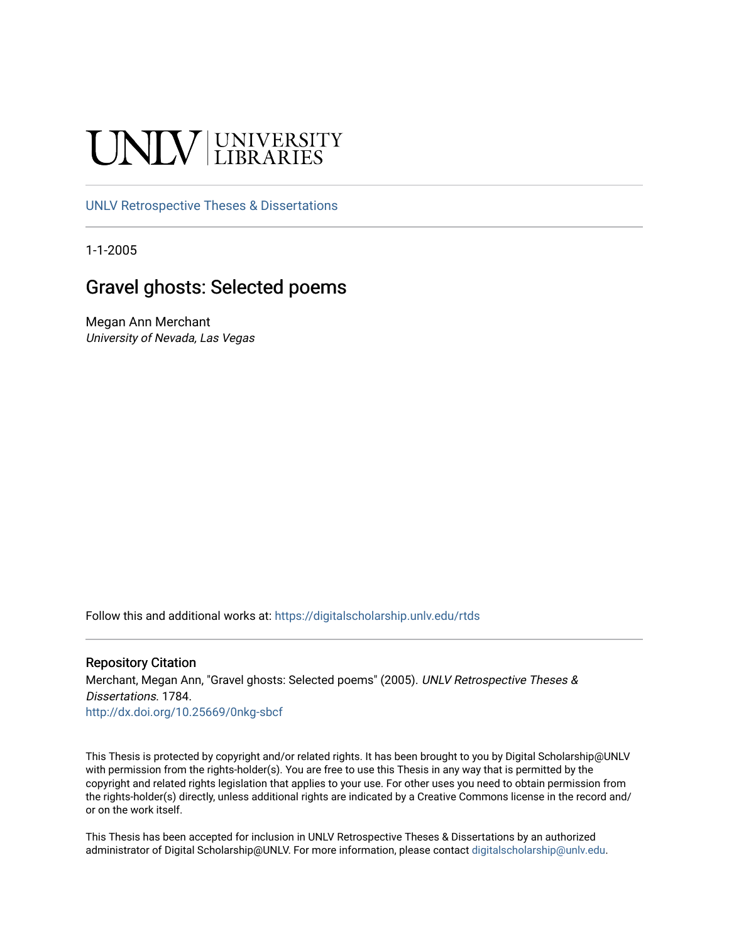# UNIV UNIVERSITY

# [UNLV Retrospective Theses & Dissertations](https://digitalscholarship.unlv.edu/rtds)

1-1-2005

# Gravel ghosts: Selected poems

Megan Ann Merchant University of Nevada, Las Vegas

Follow this and additional works at: [https://digitalscholarship.unlv.edu/rtds](https://digitalscholarship.unlv.edu/rtds?utm_source=digitalscholarship.unlv.edu%2Frtds%2F1784&utm_medium=PDF&utm_campaign=PDFCoverPages)

## Repository Citation

Merchant, Megan Ann, "Gravel ghosts: Selected poems" (2005). UNLV Retrospective Theses & Dissertations. 1784.

<http://dx.doi.org/10.25669/0nkg-sbcf>

This Thesis is protected by copyright and/or related rights. It has been brought to you by Digital Scholarship@UNLV with permission from the rights-holder(s). You are free to use this Thesis in any way that is permitted by the copyright and related rights legislation that applies to your use. For other uses you need to obtain permission from the rights-holder(s) directly, unless additional rights are indicated by a Creative Commons license in the record and/ or on the work itself.

This Thesis has been accepted for inclusion in UNLV Retrospective Theses & Dissertations by an authorized administrator of Digital Scholarship@UNLV. For more information, please contact [digitalscholarship@unlv.edu.](mailto:digitalscholarship@unlv.edu)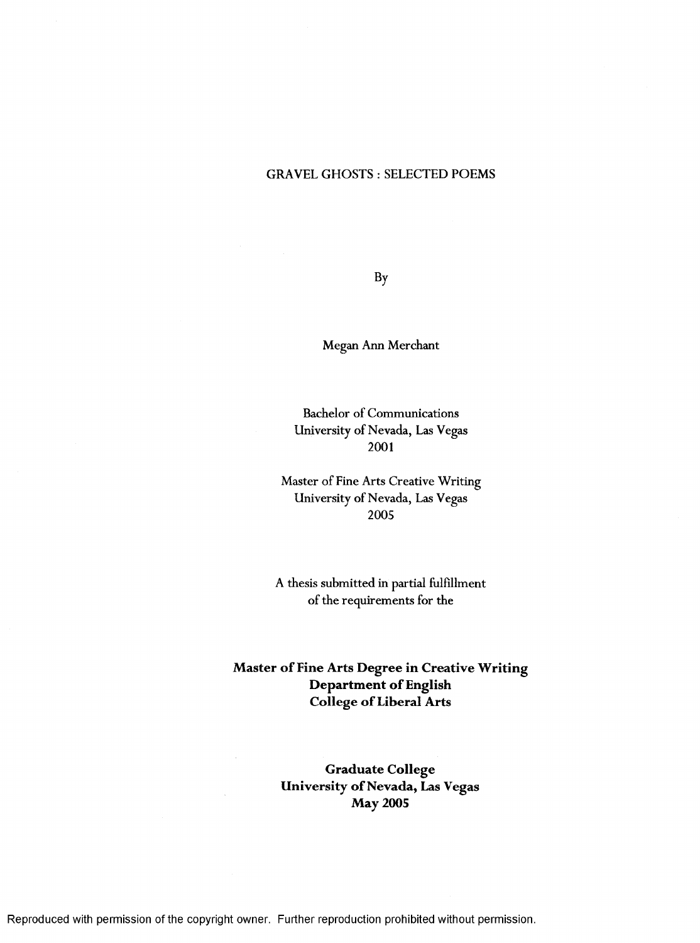## GRAVEL GHOSTS : SELECTED POEMS

By

Megan Ann Merchant

Bachelor of Communications University of Nevada, Las Vegas 2001

Master of Fine Arts Creative Writing University of Nevada, Las Vegas 2005

A thesis submitted in partial fulfillment of the requirements for the

**Master of Fine Arts Degree in Creative Writing Department of English College of Liberal Arts** 

> **Graduate College University of Nevada, Las Vegas May 2005**

Reproduced with permission of the copyright owner. Further reproduction prohibited without permission.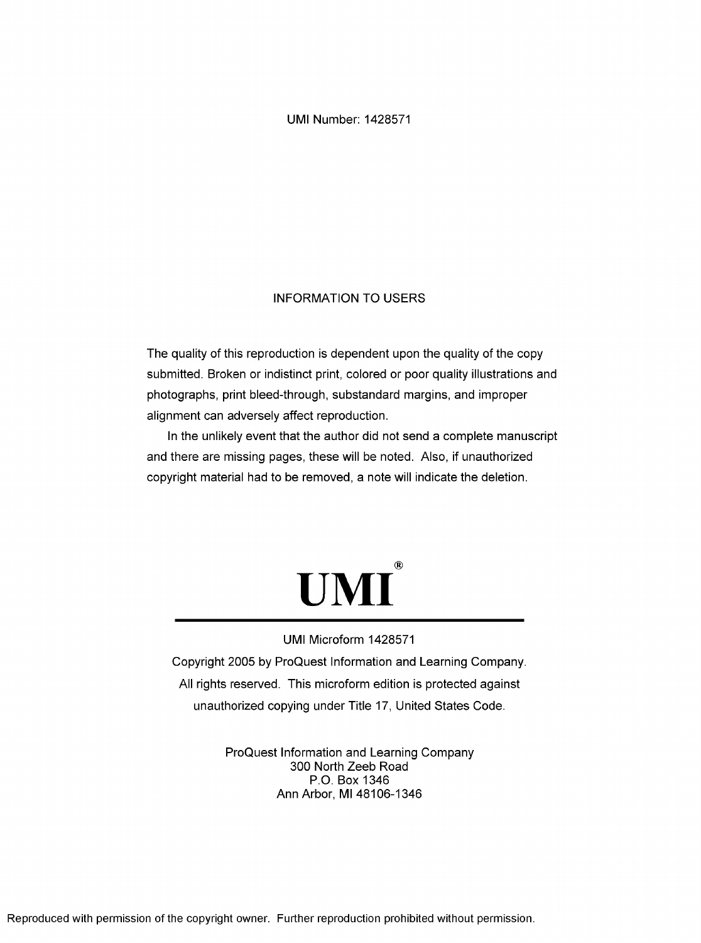UMI Number: 1428571

## INFORMATION TO USERS

The quality of this reproduction is dependent upon the quality of the copy submitted. Broken or indistinct print, colored or poor quality illustrations and photographs, print bleed-through, substandard margins, and improper alignment can adversely affect reproduction.

In the unlikely event that the author did not send a complete manuscript and there are missing pages, these will be noted. Also, if unauthorized copyright material had to be removed, a note will indicate the deletion.



## UMI Microform 1428571

Copyright 2005 by ProQuest Information and Learning Company. All rights reserved. This microform edition is protected against unauthorized copying under Title 17, United States Code.

> ProQuest Information and Learning Company 300 North Zeeb Road P.O. Box 1346 Ann Arbor, Ml 48106-1346

Reproduced with permission of the copyright owner. Further reproduction prohibited without permission.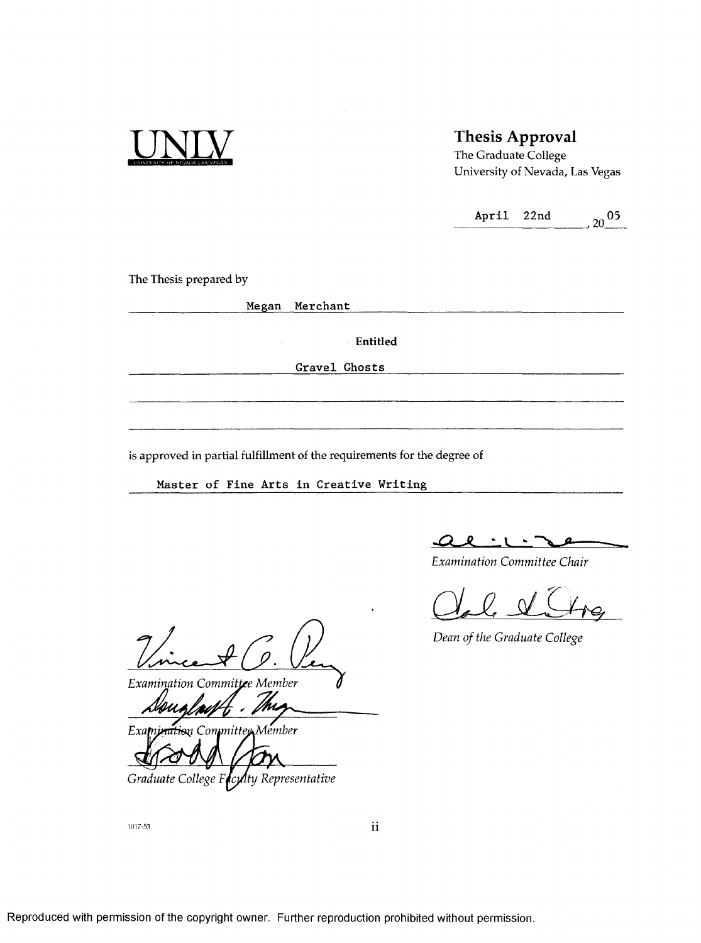

# **Thesis Approval**

The Graduate College University of Nevada, Las Vegas

April 22nd  $_{20}$  05

The Thesis prepared by

Megan Merchant

Entitled

Gravel Ghosts

is approved in partial fulfillment of the requirements for the degree of

Master of Fine Arts in Creative Writing

<u>al :</u>

*Exam ination C om m ittee Chair*

*Dean of the Graduate College* 

*1 , Exam ination C om m ittee M em ber*

*Examination Committee Member* 

*Graduate College Follty Representative* 

1017-53

**11**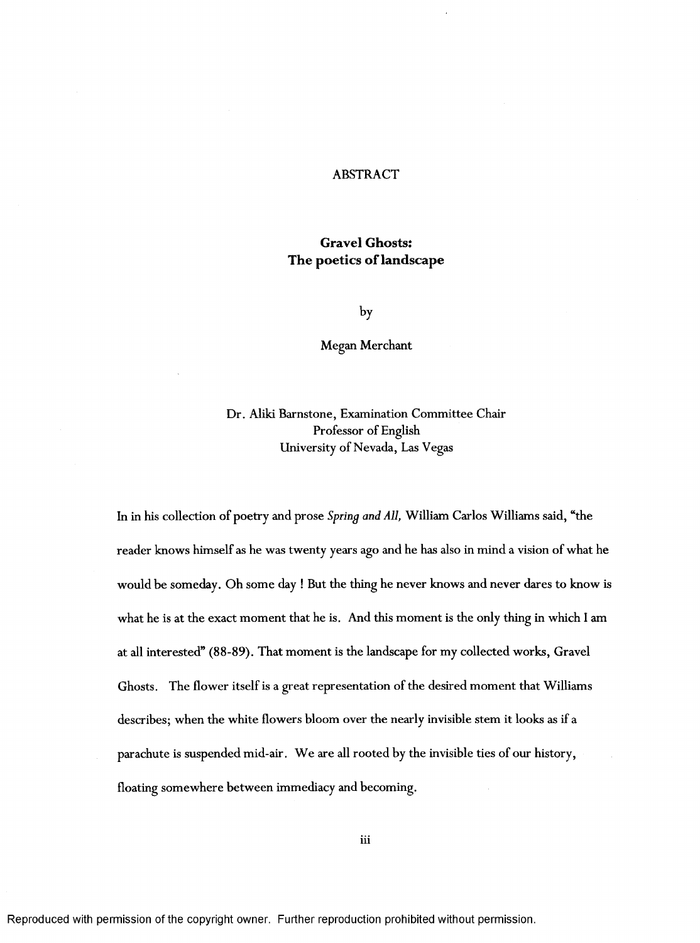## ABSTRACT

# **Gravel Ghosts: The poetics of landscape**

by

Megan Merchant

Dr. Aliki Barnstone, Examination Committee Chair Professor of English University of Nevada, Las Vegas

In in his collection of poetry and prose *Spring and All,* William Carlos Williams said, "the reader knows himself as he was twenty years ago and he has also in mind a vision of what he would be someday. Oh some day ! But the thing he never knows and never dares to know is what he is at the exact moment that he is. And this moment is the only thing in which I am at all interested" (88-89). That moment is the landscape for my collected works, Gravel Ghosts. The flower itself is a great representation of the desired moment that Williams describes; when the white flowers bloom over the nearly invisible stem it looks as if a parachute is suspended mid-air. We are all rooted by the invisible ties of our history, floating somewhere between immediacy and becoming.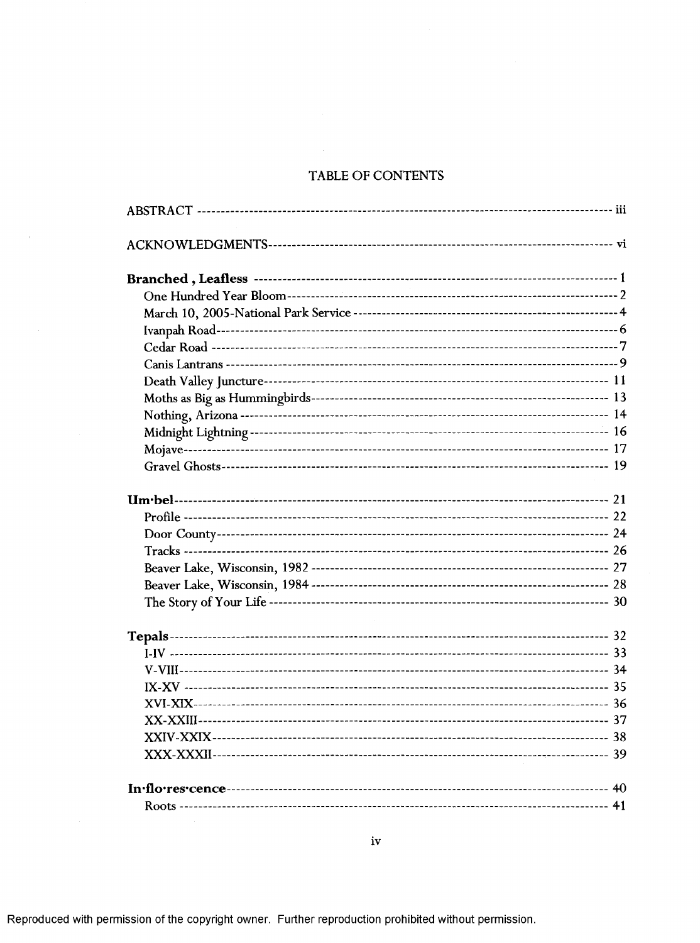# TABLE OF CONTENTS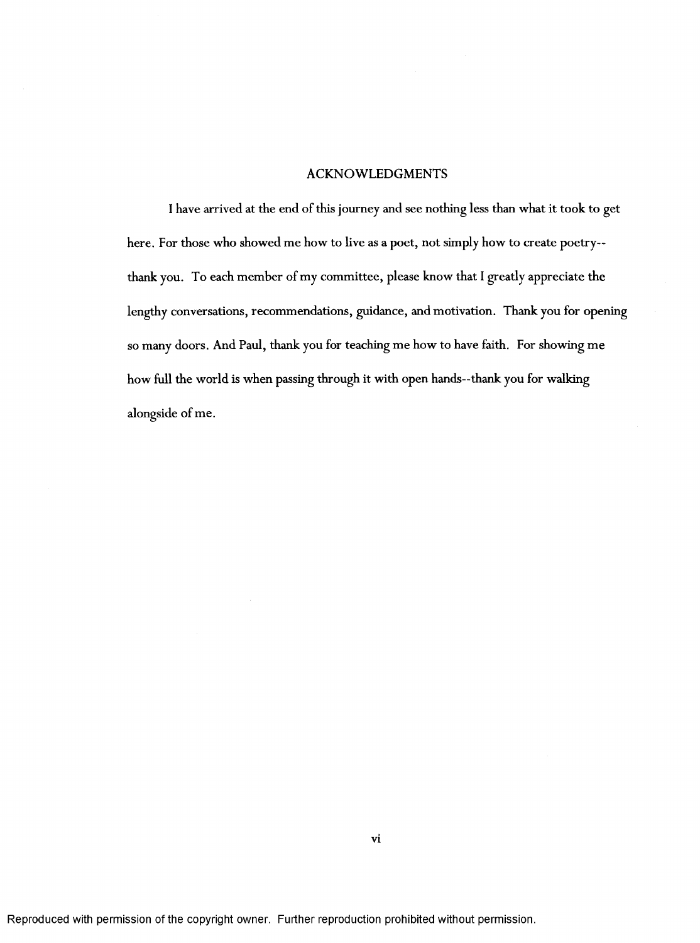#### ACKNOWLEDGMENTS

I have arrived at the end of this journey and see nothing less than what it took to get here. For those who showed me how to live as a poet, not simply how to create poetry-thank you. To each member of my committee, please know that I greatly appreciate the lengthy conversations, recommendations, guidance, and motivation. Thank you for opening so many doors. And Paul, thank you for teaching me how to have faith. For showing me how full the world is when passing through it with open hands--thank you for walking alongside of me.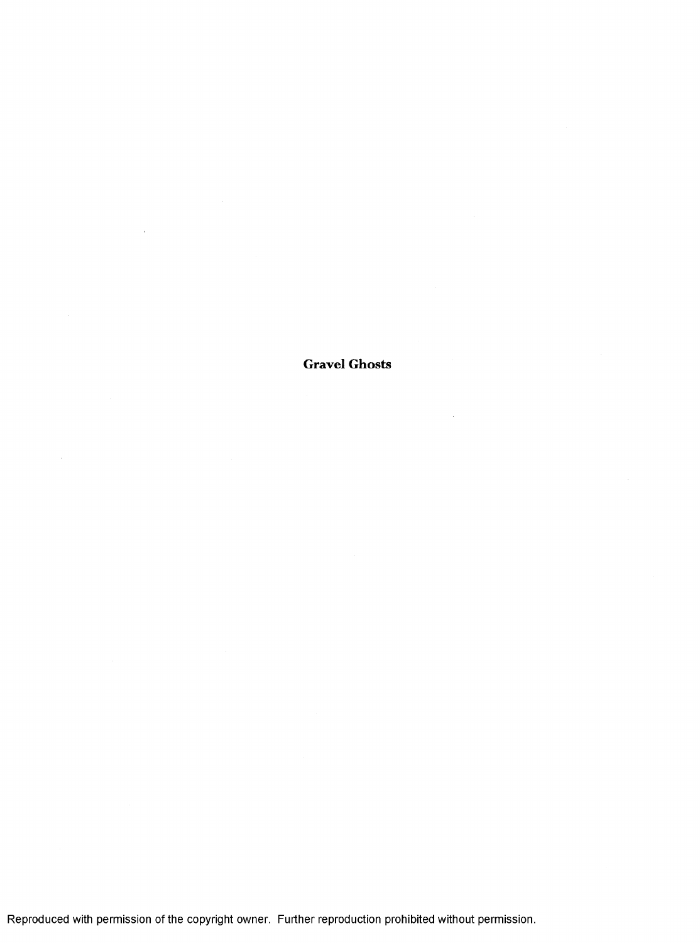**Gravel Ghosts**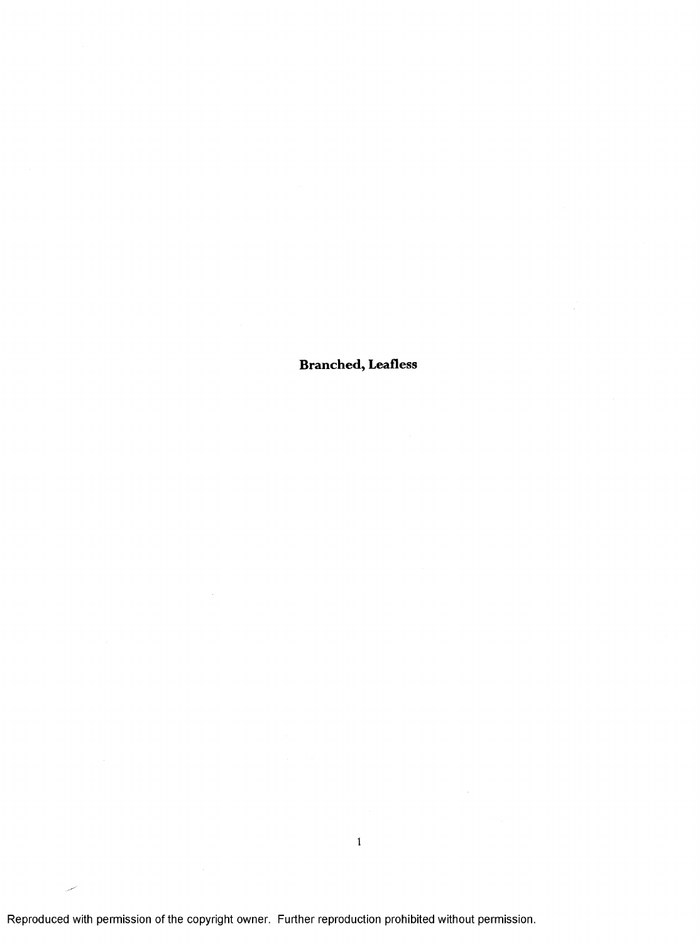**Branched, Leafless**

 $\mathbf{1}$ 

Reproduced with permission of the copyright owner. Further reproduction prohibited without permission.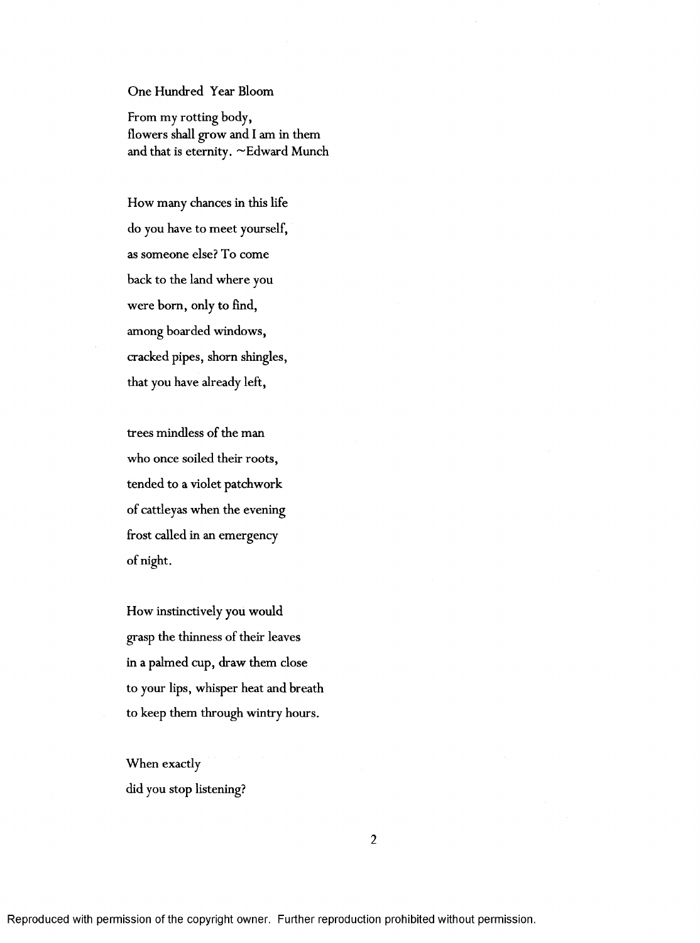# One Hundred Year Bloom

From my rotting body, flowers shall grow and I am in them and that is eternity.  $\sim$  Edward Munch

How many chances in this life do you have to meet yourself, as someone else? To come back to the land where you were born, only to find, among boarded windows, cracked pipes, shorn shingles, that you have already left,

trees mindless of the man who once soiled their roots, tended to a violet patchwork of cattleyas when the evening frost called in an emergency of night.

How instinctively you would grasp the thinness of their leaves in a palmed cup, draw them close to your lips, whisper heat and breath to keep them through wintry hours.

When exactly did you stop listening?

 $\overline{2}$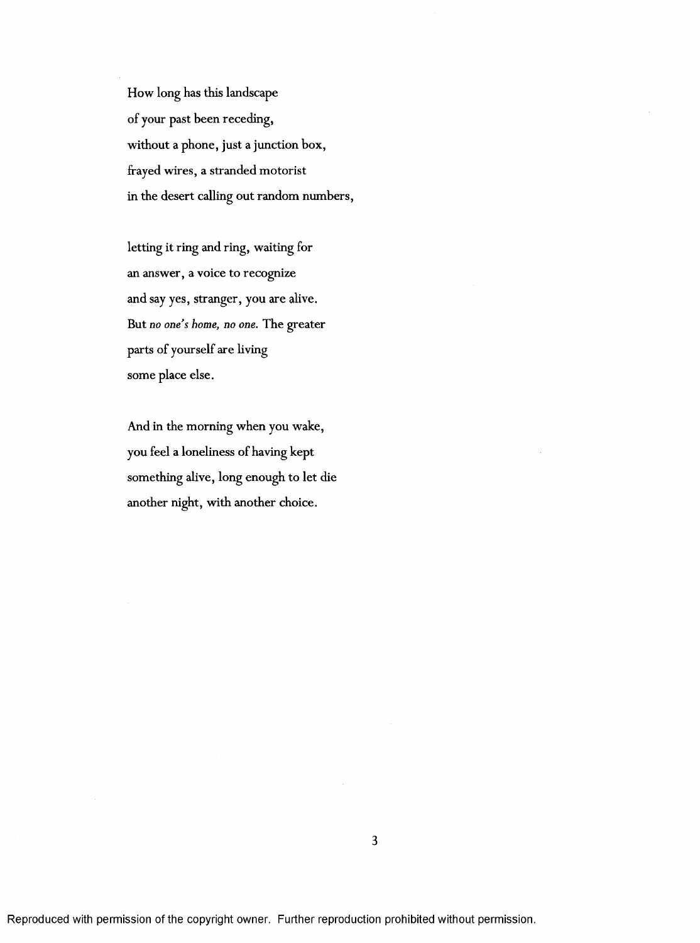How long has this landscape of your past been receding, without a phone, just a junction box, frayed wires, a stranded motorist in the desert calling out random numbers,

letting it ring and ring, waiting for an answer, a voice to recognize and say yes, stranger, you are alive. But no *one's home, no one.* The greater parts of yourself are living some place else.

And in the morning when you wake, you feel a loneliness of having kept something alive, long enough to let die another night, with another choice.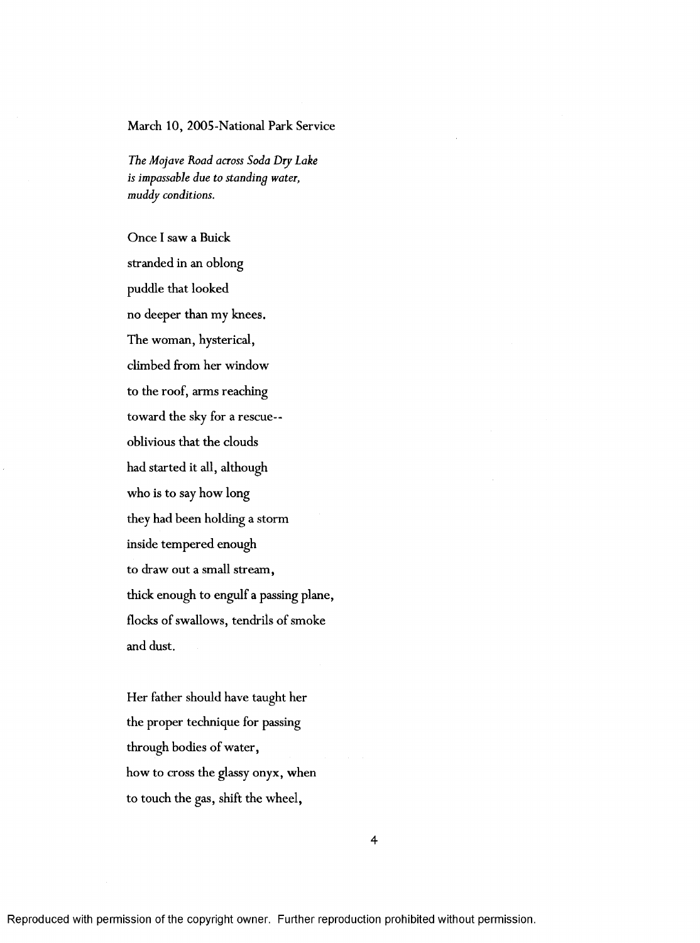## March 10, 2005-National Park Service

*The Mojave Road across Soda Dry Lake is impassable due to standing water, muddy conditions.*

Once I saw a Buick stranded in an oblong puddle that looked no deeper than my knees. The woman, hysterical, climbed from her window to the roof, arms reaching toward the sky for a rescue-oblivious that the clouds had started it all, although who is to say how long they had been holding a storm inside tem pered enough to draw out a small stream, thick enough to engulf a passing plane, flocks of swallows, tendrils of smoke and dust.

Her father should have taught her the proper technique for passing through bodies of water, how to cross the glassy onyx, when to touch the gas, shift the wheel.

4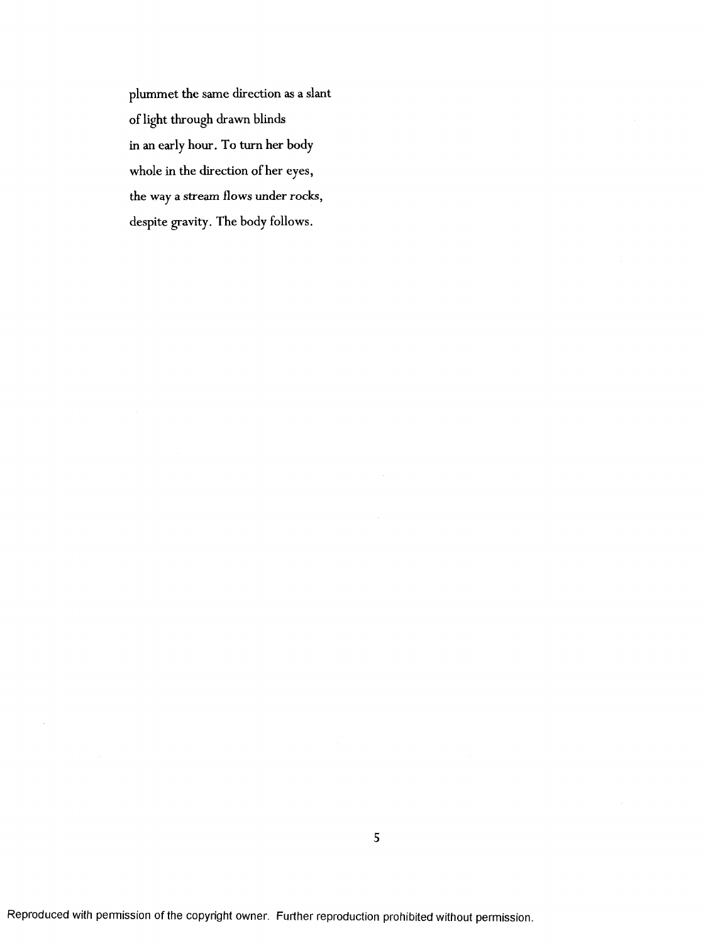plum met the same direction as a slant of light through drawn blinds in an early hour. To turn her body whole in the direction of her eyes, the way a stream flows under rocks, despite gravity. The body follows.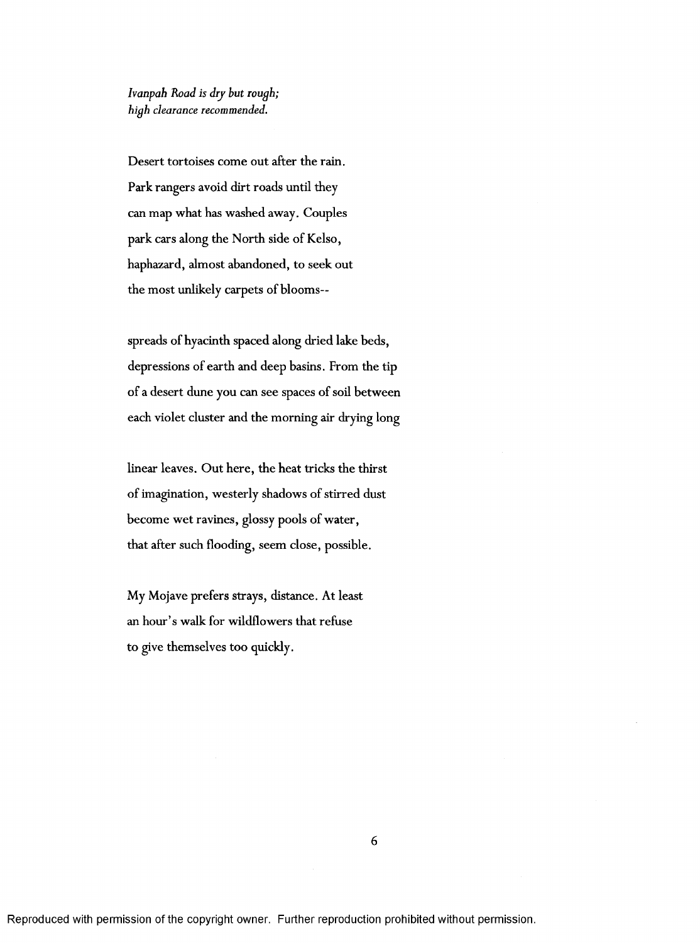*Ivanpah Road is dry hut rough; high clearance recommended.*

Desert tortoises come out after the rain. Park rangers avoid dirt roads until they can map what has washed away. Couples park cars along the North side of Kelso, haphazard, almost abandoned, to seek out the most unlikely carpets of blooms—

spreads of hyacinth spaced along dried lake beds, depressions of earth and deep basins. From the tip of a desert dune you can see spaces of soil between each violet cluster and the morning air drying long

linear leaves. Out here, the heat tricks the thirst of imagination, westerly shadows of stirred dust become wet ravines, glossy pools of water, that after such flooding, seem close, possible.

My Mojave prefers strays, distance. At least an hour's walk for wildflowers that refuse to give themselves too quickly.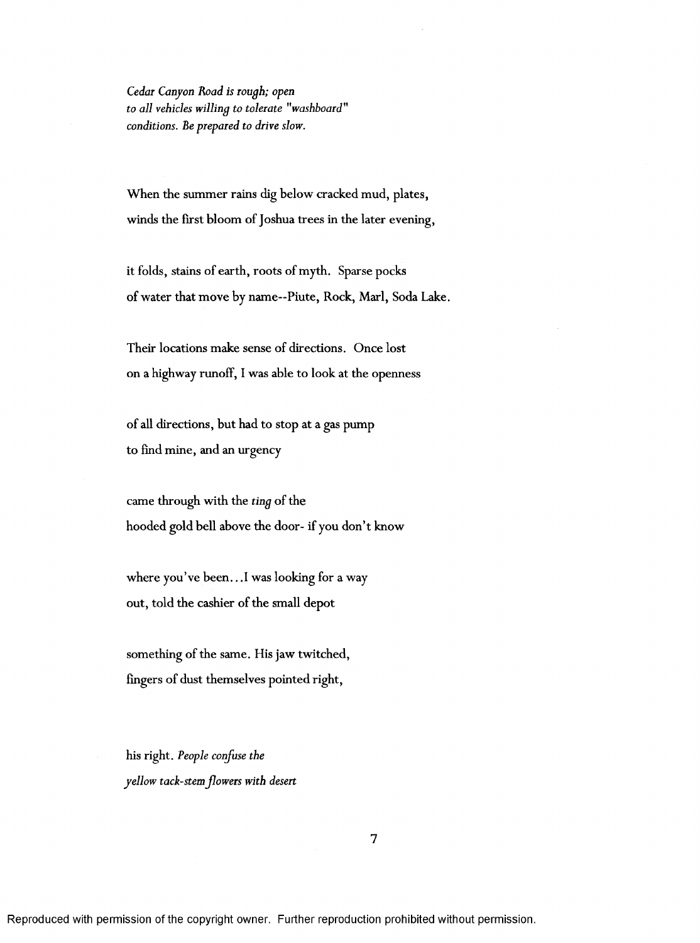*Cedar Canyon Road is rough; open to all vehicles willing to tolerate "washboard" conditions. Be prepared to drive slow.*

When the summer rains dig below cracked mud, plates, winds the first bloom of Joshua trees in the later evening,

it folds, stains of earth, roots of myth. Sparse pocks of water that move by name—Piute, Rock, Marl, Soda Lake.

Their locations make sense of directions. Once lost on a highway runoff, I was able to look at the openness

of all directions, but had to stop at a gas pump to find mine, and an urgency

came through with the *ting* of the hooded gold bell above the door- if you don't know

where you've been...I was looking for a way out, told the cashier of the small depot

something of the same. His jaw twitched, fingers of dust themselves pointed right.

his right. *People confuse the yellow tack-stemflowers with desert*

Reproduced with permission of the copyright owner. Further reproduction prohibited without permission.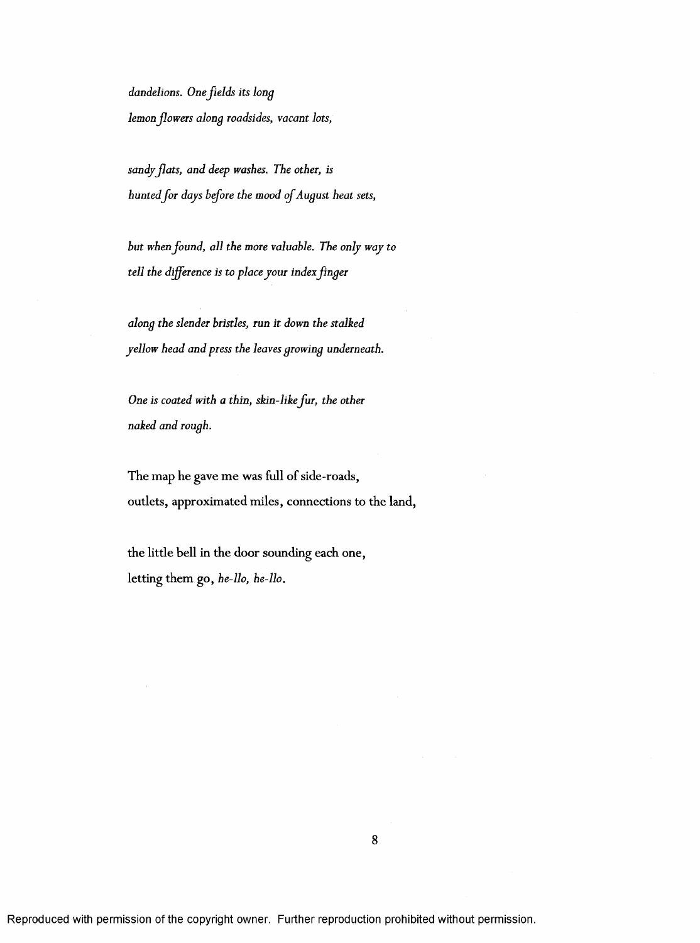*dandelions. One fields its long lemon fowers along roadsides, vacant lots,*

sandy flats, and deep washes. The other, is *huntedfor days before the mood of August heat sets,*

*but whenfound, all the more valuable. The only way to tell the difference is to place your indexfinger*

*along the slender bristles, run it down the stalked yellow head and press the leaves growing underneath.*

*One is coated with a thin, skin-like fur, the other naked and rough.*

The map he gave me was full of side-roads, outlets, approximated miles, connections to the land,

the little bell in the door sounding each one, letting them go, *he-llo, he-llo.*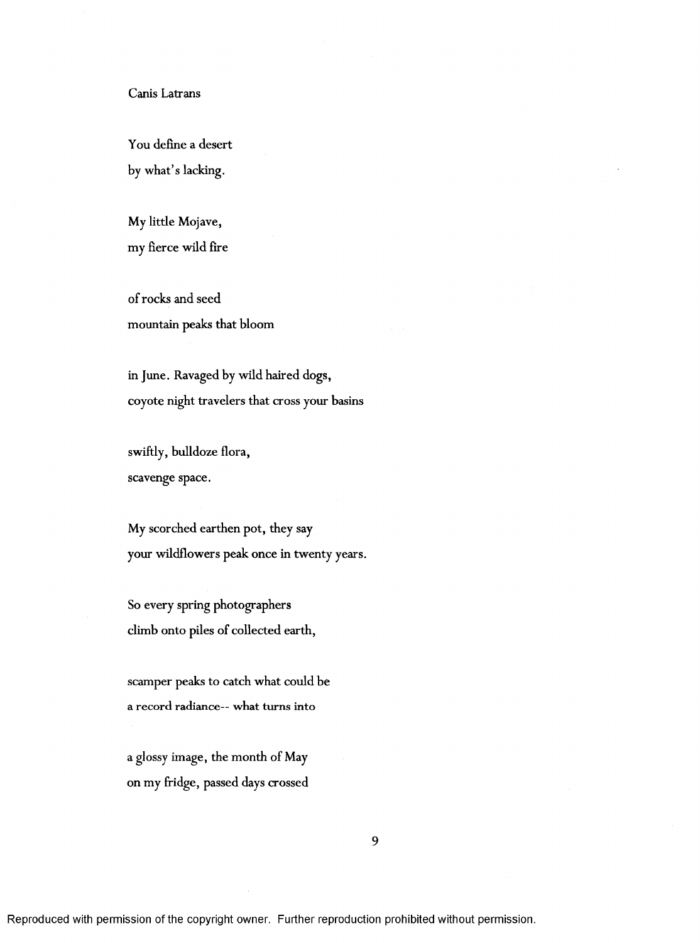## Canis Latrans

You define a desert by what's lacking.

My little Mojave, my fierce wild fire

of rocks and seed mountain peaks that bloom

in June. Ravaged by wild haired dogs, coyote night travelers that cross your basins

swiftly, bulldoze flora, scavenge space.

My scorched earthen pot, they say your wildflowers peak once in twenty years.

So every spring photographers climb onto piles of collected earth,

scamper peaks to catch what could be a record radiance-- what turns into

a glossy image, the month of May on my fridge, passed days crossed

9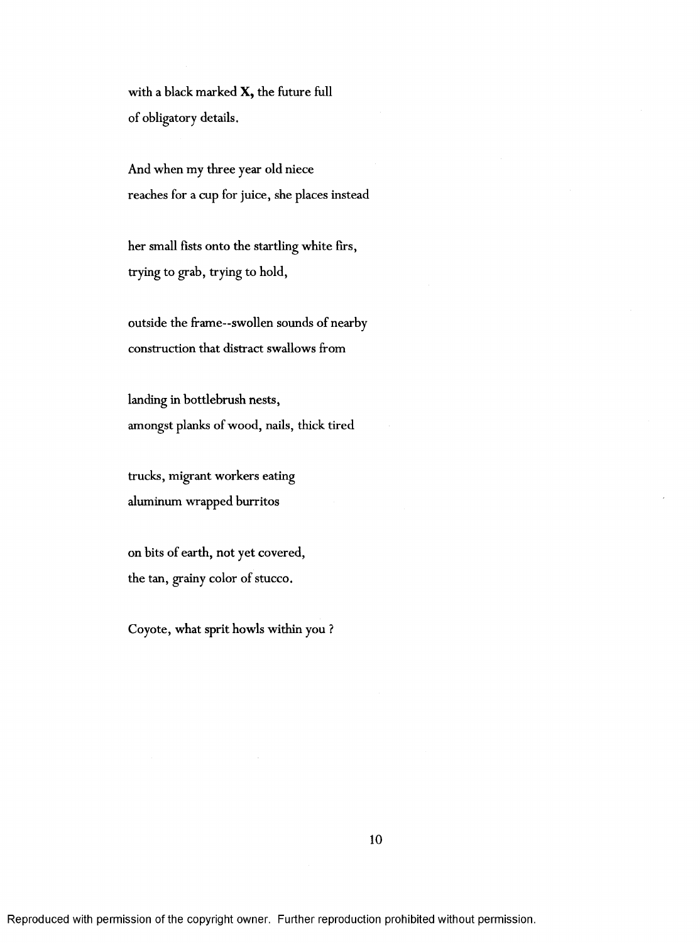with a black marked  $X$ , the future full of obligatory details.

And when my three year old niece reaches for a cup for juice, she places instead

her small fists onto the startling white firs, trying to grab, trying to hold,

outside the frame—swollen sounds of nearby construction that distract swallows from

landing in bottlebrush nests, amongst planks of wood, nails, thick tired

trucks, migrant workers eating aluminum wrapped burritos

on bits of earth, not yet covered, the tan, grainy color of stucco.

Coyote, what sprit howls within you ?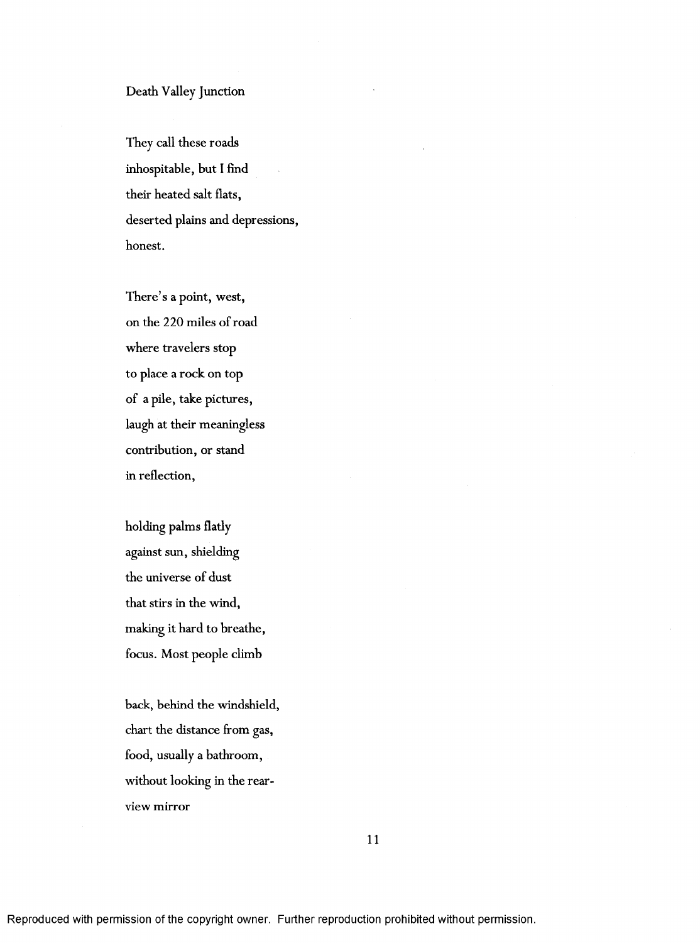# Death Valley Junction

They call these roads inhospitable, but I find their heated salt flats, deserted plains and depressions, honest.

There's a point, west, on the 220 miles of road where travelers stop to place a rock on top of a pile, take pictures, laugh at their meaningless contribution, or stand in reflection,

holding palms flatly against sun, shielding the universe of dust that stirs in the wind, making it hard to breathe, focus. Most people climb

back, behind the windshield, chart the distance from gas, food, usually a bathroom, without looking in the rearview mirror

11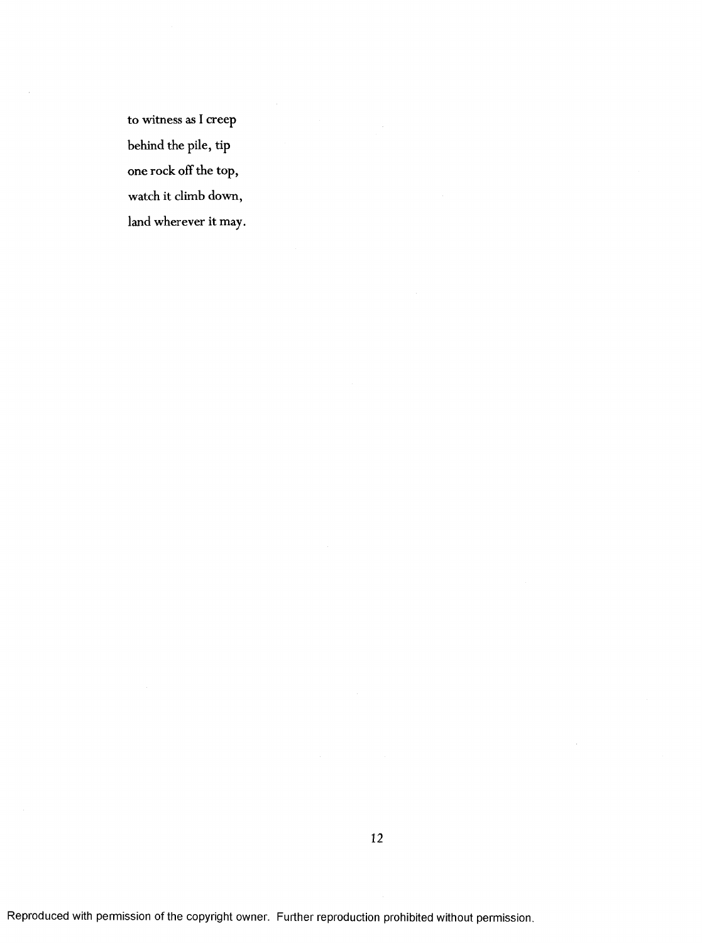to witness as I creep behind the pile, tip one rock off the top, watch it climb down, land wherever it may.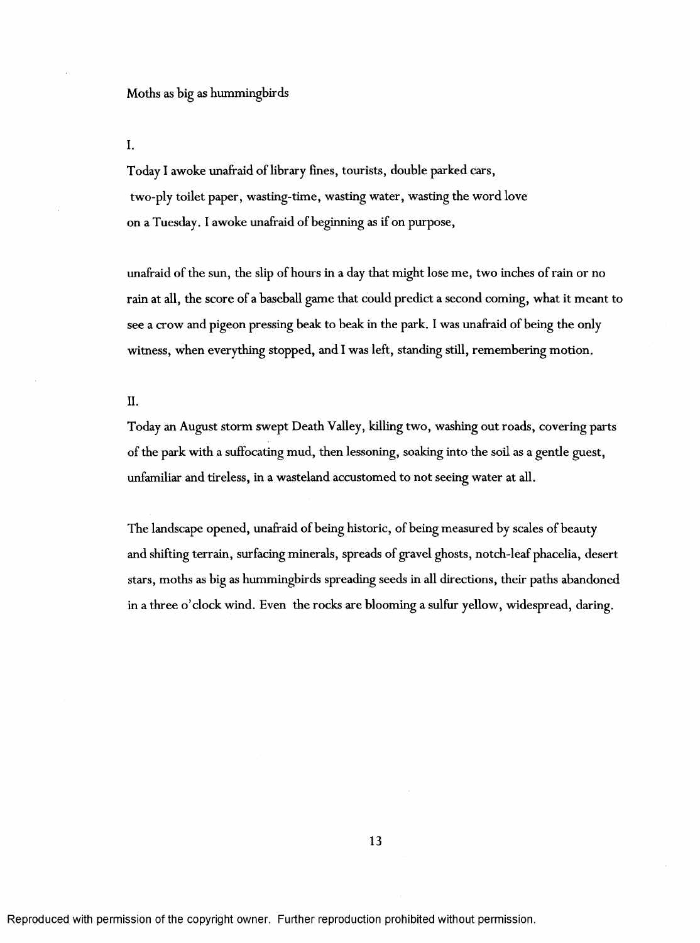I.

Today I awoke unafraid of library fines, tourists, double parked cars, two-ply toilet paper, wasting-time, wasting water, wasting the word love on a Tuesday. I awoke unafraid of beginning as if on purpose,

unafraid of the sun, the slip of hours in a day that might lose me, two inches of rain or no rain at all, the score of a baseball game that could predict a second coming, what it meant to see a crow and pigeon pressing beak to beak in the park. 1 was unafraid of being the only witness, when everything stopped, and I was left, standing still, remembering motion.

II.

Today an August storm swept Death Valley, killing two, washing out roads, covering parts of the park with a suffocating mud, then lessoning, soaking into the soil as a gentle guest, unfamiliar and tireless, in a wasteland accustomed to not seeing water at all.

The landscape opened, unafraid of being historic, of being measured by scales of beauty and shifting terrain, surfacing minerals, spreads of gravel ghosts, notch-leaf phacelia, desert stars, moths as big as hummingbirds spreading seeds in all directions, their paths abandoned in a three o'clock wind. Even the rocks are blooming a sulfur yellow, widespread, daring.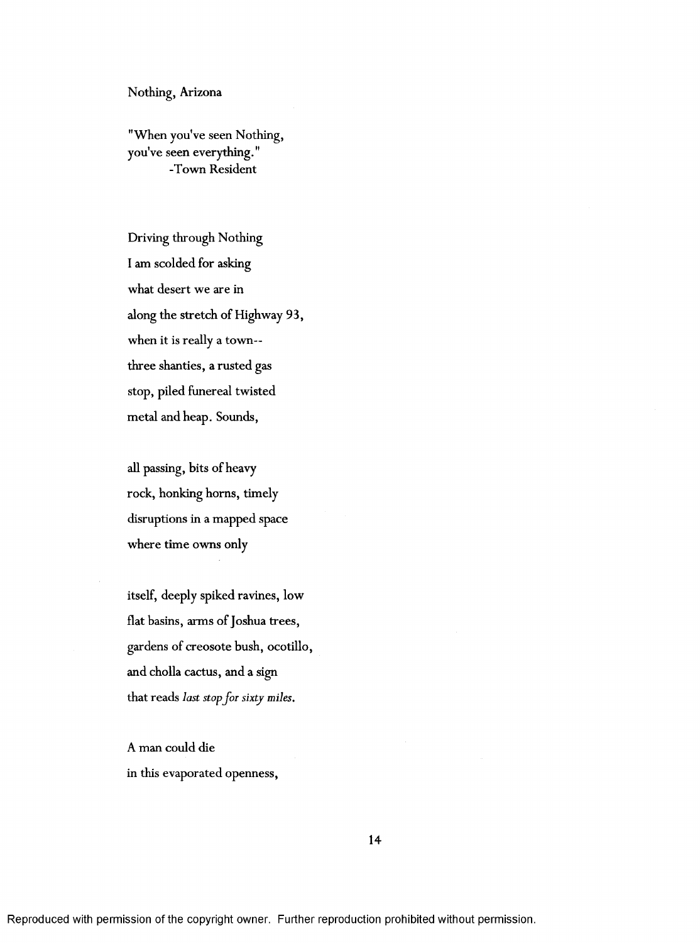#### Nothing, Arizona

"When you've seen Nothing, you've seen everything. " -Town Resident

Driving through Nothing I am scolded for asking what desert we are in along the stretch of Highway 93, when it is really a town-three shanties, a rusted gas stop, piled funereal twisted metal and heap. Sounds,

all passing, bits of heavy rock, honking horns, timely disruptions in a mapped space where time owns only

itself, deeply spiked ravines, low flat basins, arms of Joshua trees, gardens of creosote bush, ocotillo, and cholla cactus, and a sign that reads *last stop for sixty miles.*

A man could die in this evaporated openness.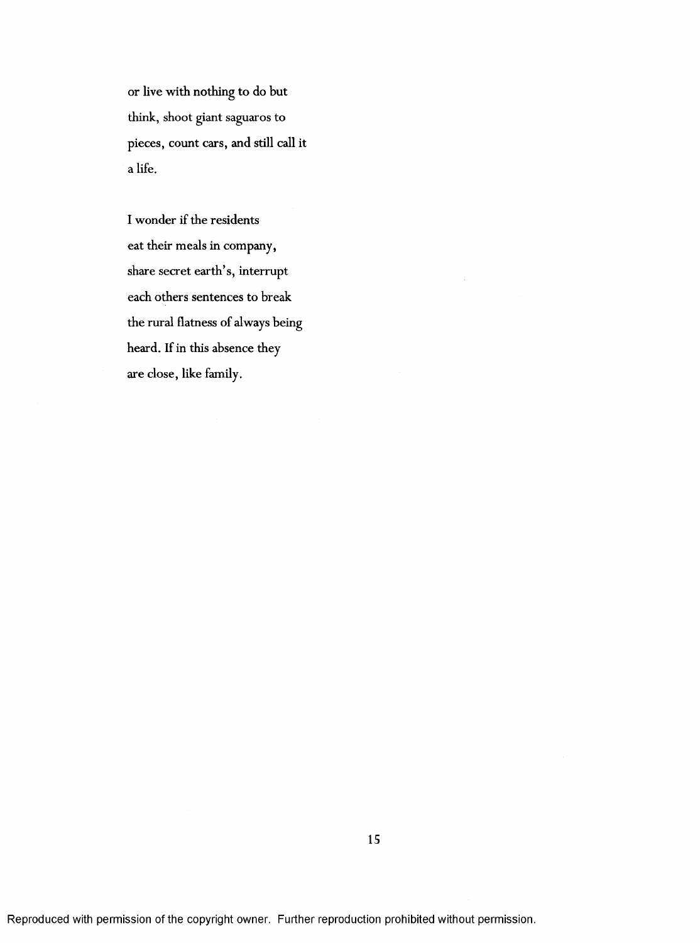or live with nothing to do but think, shoot giant saguaros to pieces, count cars, and still call it a life.

I wonder if the residents eat their meals in company, share secret earth's, interrupt each others sentences to break the rural flatness of always being heard. If in this absence they are close, like family.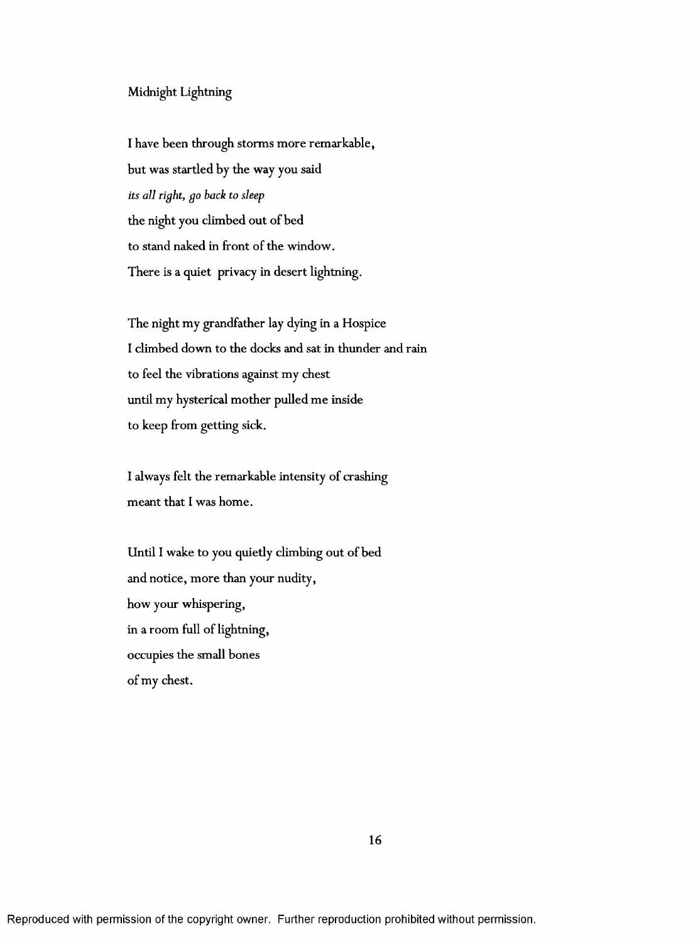## Midnight Lightning

I have been through storms more remarkable, but was startled by the way you said *its all right, go hack to sleep* the night you climbed out of bed to stand naked in front of the window. There is a quiet privacy in desert lightning.

The night my grandfather lay dying in a Hospice I climbed down to the docks and sat in thunder and rain to feel the vibrations against my chest until my hysterical mother pulled me inside to keep from getting sick.

I always felt the remarkable intensity of crashing meant that I was home.

Until I wake to you quietly climbing out of bed and notice, more than your nudity, how your whispering, in a room full of lightning, occupies the small bones of my chest.

Reproduced with permission of the copyright owner. Further reproduction prohibited without permission.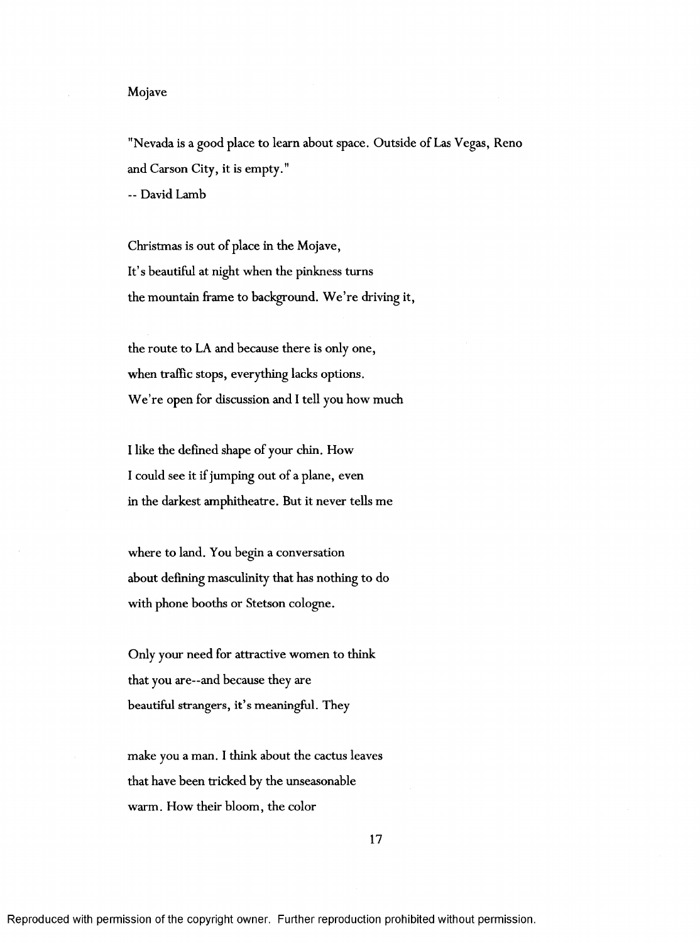## Mojave

"Nevada is a good place to learn about space. Outside of Las Vegas, Reno and Carson City, it is empty." -- David Lamb

Christmas is out of place in the Mojave, It's beautiful at night when the pinkness turns the mountain frame to background. We're driving it,

the route to LA and because there is only one, when traffic stops, everything lacks options. We're open for discussion and I tell you how much

I like the defined shape of your chin. How I could see it if jumping out of a plane, even in the darkest amphitheatre. But it never tells me

where to land. You begin a conversation about defining masculinity that has nothing to do with phone booths or Stetson cologne.

Only your need for attractive women to think that you are—and because they are beautiful strangers, it's meaningful. They

make you a man. I think about the cactus leaves that have been tricked by the unseasonable warm. How their bloom, the color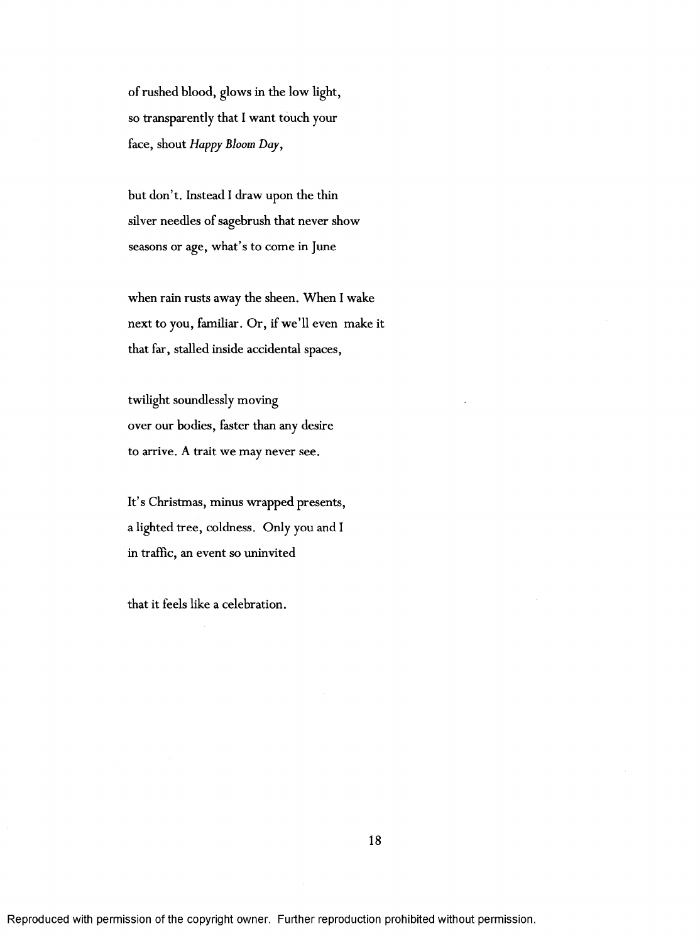of rushed blood, glows in the low light, so transparently that I want touch your face, shout *Happy Bloom Day,*

but don't. Instead I draw upon the thin silver needles of sagebrush that never show seasons or age, what's to come in June

when rain rusts away the sheen. When I wake next to you, familiar. Or, if we'll even make it that far, stalled inside accidental spaces,

twilight soundlessly moving over our bodies, faster than any desire to arrive. A trait we may never see.

It's Christmas, minus wrapped presents, a lighted tree, coldness. Only you and I in traffic, an event so uninvited

that it feels like a celebration.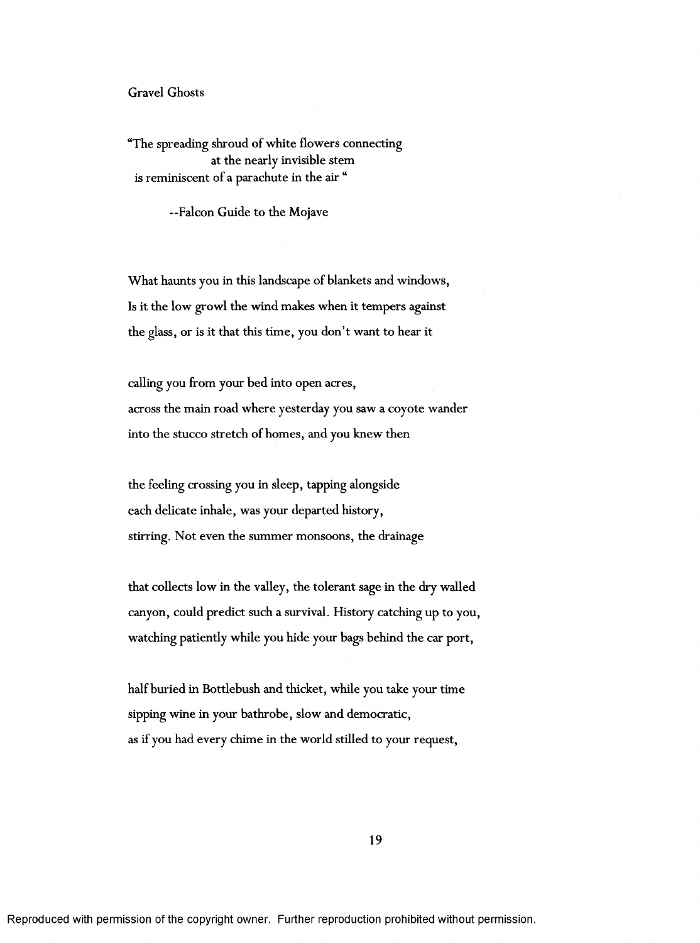## Gravel Ghosts

"The spreading shroud of white flowers connecting at the nearly invisible stem is reminiscent of a parachute in the air "

—Falcon Guide to the Mojave

What haunts you in this landscape of blankets and windows, Is it the low growl the wind makes when it tempers against the glass, or is it that this time, you don't want to hear it

calling you from your bed into open acres, across the main road where yesterday you saw a coyote wander into the stucco stretch of homes, and you knew then

the feeling crossing you in sleep, tapping alongside each delicate inhale, was your departed history, stirring. Not even the summer monsoons, the drainage

that collects low in the valley, the tolerant sage in the dry walled canyon, could predict such a survival. History catching up to you, watching patiently while you hide your bags behind the car port,

half buried in Bottlebush and thicket, while you take your time sipping wine in your bathrobe, slow and democratic, as if you had every chime in the world stilled to your request.

19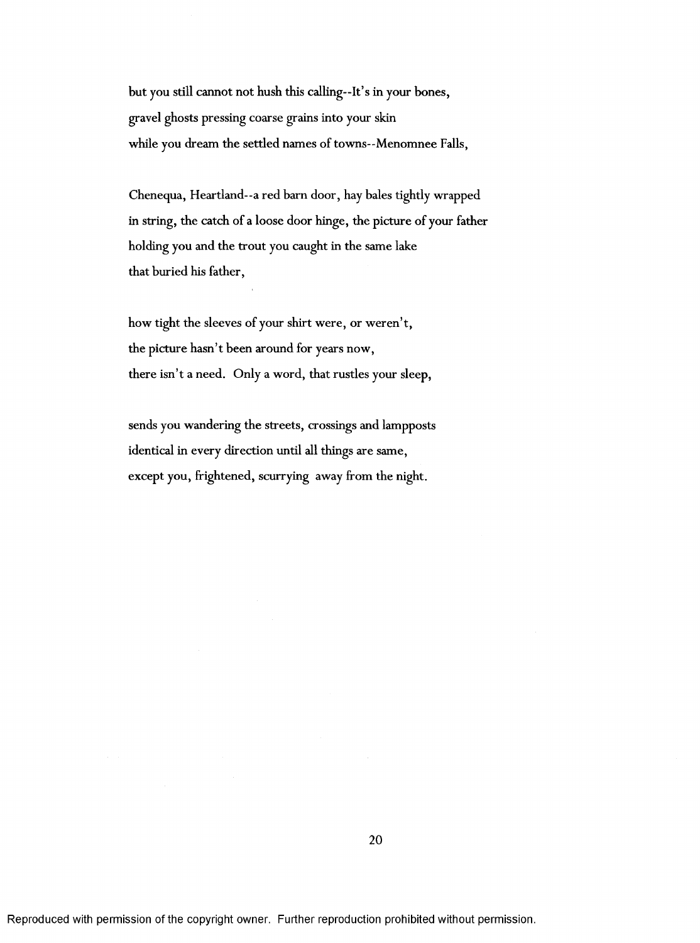but you still cannot not hush this calling—It's in your bones, gravel ghosts pressing coarse grains into your skin while you dream the settled names of towns--Menomnee Falls,

Chenequa, Heartland—a red barn door, hay bales tightly wrapped in string, the catch of a loose door hinge, the picture of your father holding you and the trout you caught in the same lake that buried his father,

how tight the sleeves of your shirt were, or weren't, the picture hasn't been around for years now, there isn't a need. Only a word, that rustles your sleep,

sends you wandering the streets, crossings and lampposts identical in every direction until all things are same, except you, frightened, scurrying away from the night.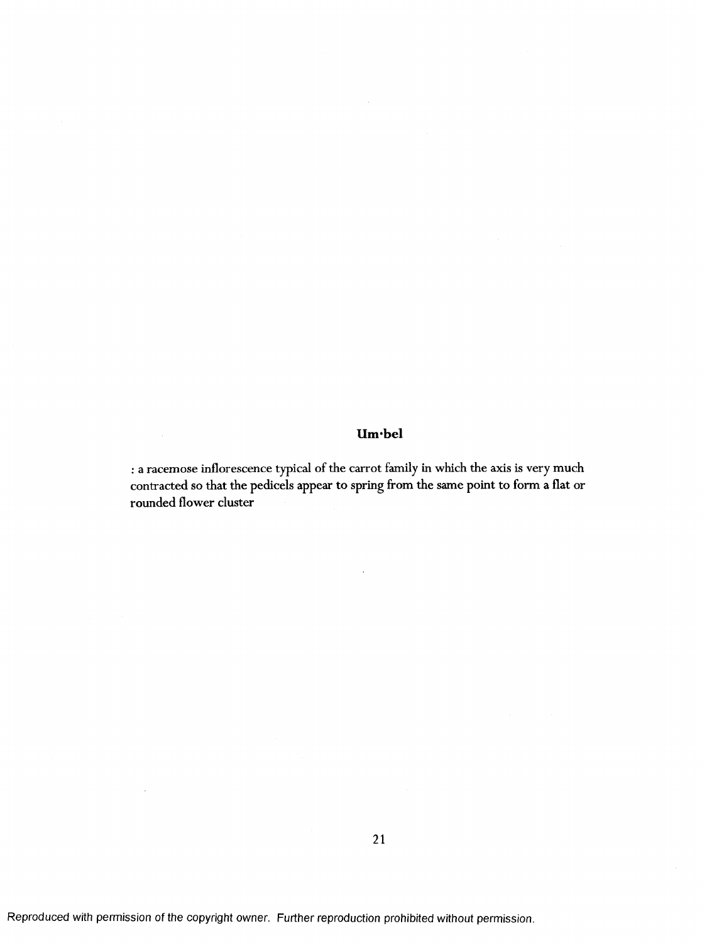# Um·bel

; a racemose inflorescence typical of the carrot family in which the axis is very much contracted so that the pedicels appear to spring from the same point to form a flat or rounded flower cluster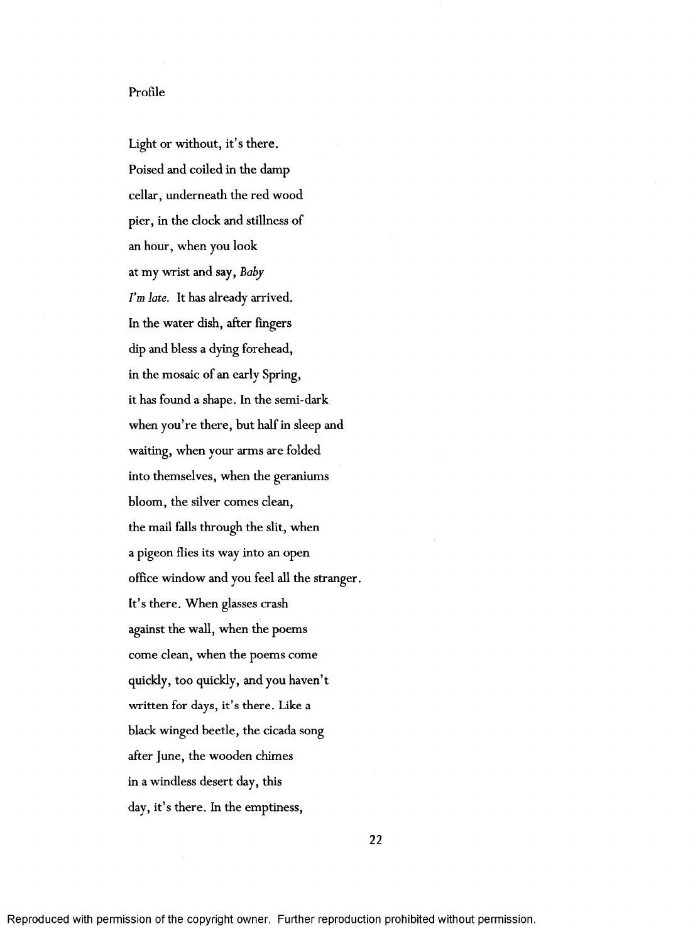# Profile

Light or without, it's there. Poised and coiled in the damp cellar, underneath the red wood pier, in the clock and stillness of an hour, when you look at my wrist and say. *Baby I'm late.* It has already arrived. In the water dish, after fingers dip and bless a dying forehead, in the mosaic of an early Spring, it has found a shape. In the semi-dark when you're there, but half in sleep and waiting, when your arms are folded into themselves, when the geraniums bloom, the silver comes clean, the mail falls through the slit, when a pigeon flies its way into an open office window and you feel all the stranger. It's there. When glasses crash against the wall, when the poems come clean, when the poems come quickly, too quickly, and you haven't written for days, it's there. Like a black winged beetle, the cicada song after June, the wooden chimes in a windless desert day, this day, it's there. In the emptiness,

**22**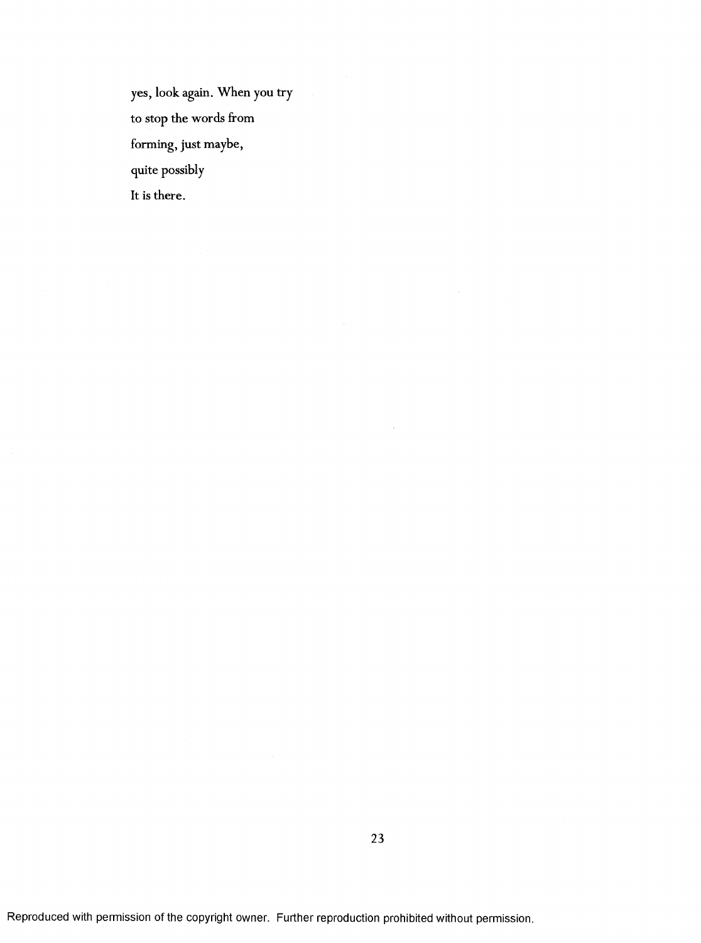yes, look again. When you try to stop the words from forming, just maybe, quite possibly It is there.

 $\bar{z}$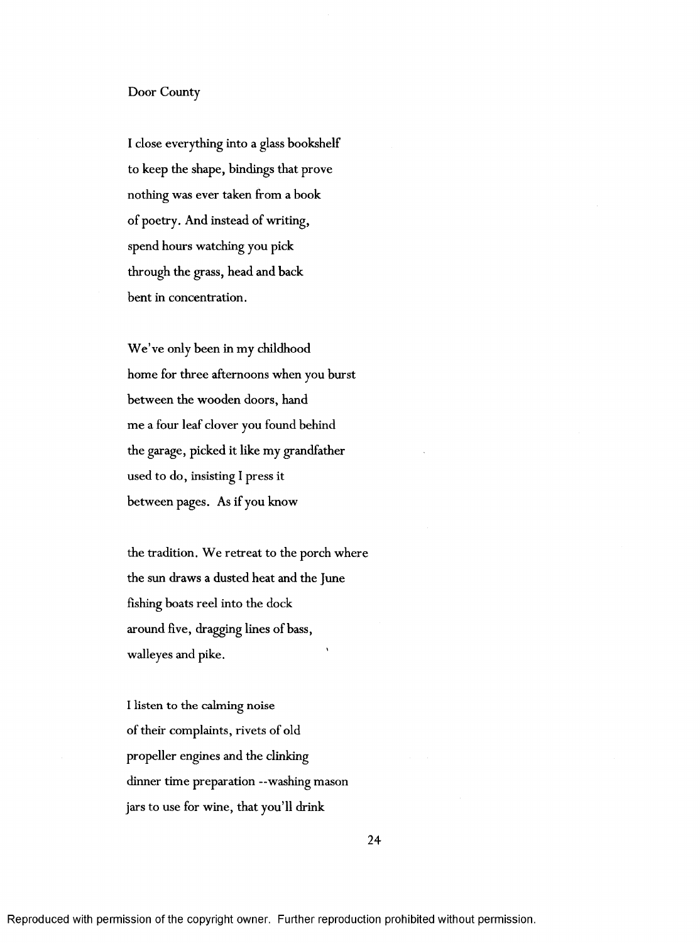## Door County

I close everything into a glass bookshelf to keep the shape, bindings that prove nothing was ever taken from a book of poetry. And instead of writing, spend hours watching you pick through the grass, head and back bent in concentration.

We've only been in my childhood home for three afternoons when you burst between the wooden doors, hand me a four leaf clover you found behind the garage, picked it like my grandfather used to do, insisting I press it between pages. As if you know

the tradition. We retreat to the porch where the sun draws a dusted heat and the June fishing boats reel into the dock around five, dragging lines of bass, walleyes and pike.

I listen to the calming noise of their complaints, rivets of old propeller engines and the clinking dinner time preparation --washing mason jars to use for wine, that you'll drink

24

Reproduced with permission of the copyright owner. Further reproduction prohibited without permission.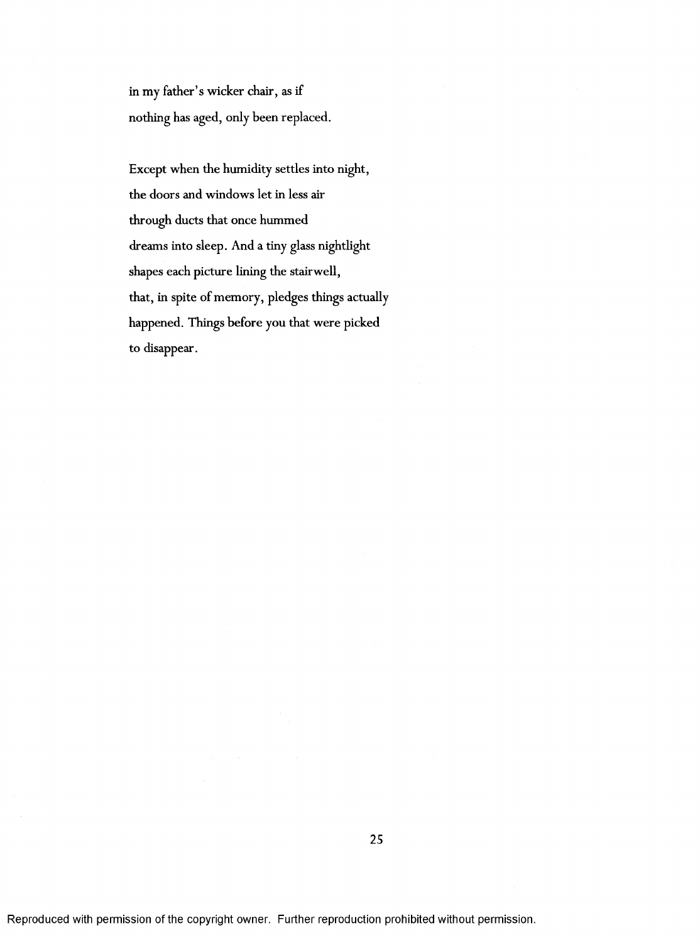in my father's wicker chair, as if nothing has aged, only been replaced.

Except when the humidity settles into night, the doors and windows let in less air through ducts that once hummed dreams into sleep. And a tiny glass nightlight shapes each picture lining the stairwell, that, in spite of memory, pledges things actually happened. Things before you that were picked to disappear.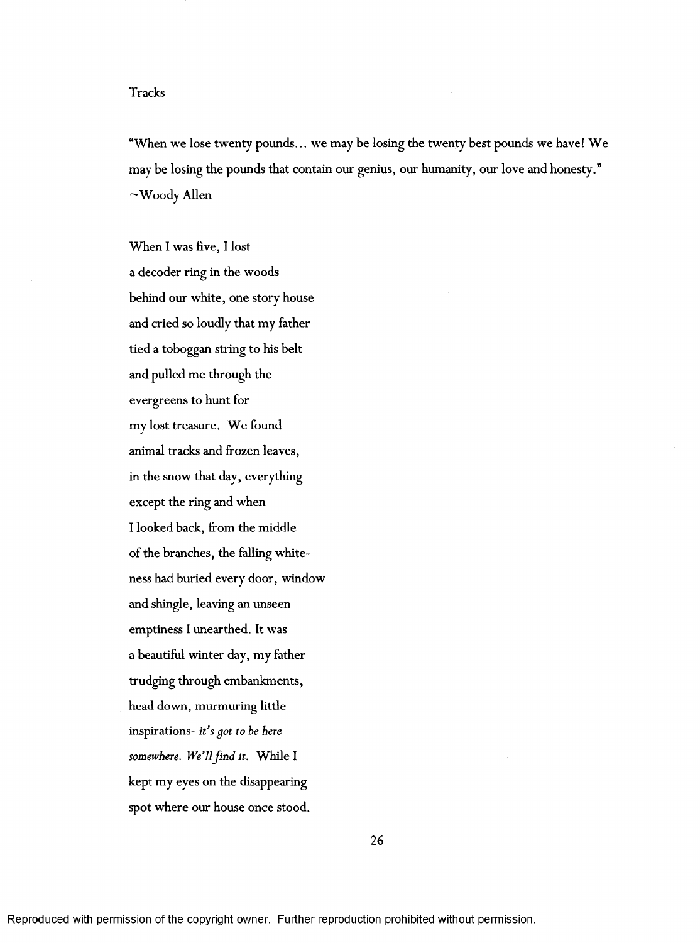## Tracks

"When we lose twenty pounds... we may be losing the twenty best pounds we have! We may be losing the pounds that contain our genius, our humanity, our love and honesty."  $\sim$ Woody Allen

When I was five, I lost a decoder ring in the woods behind our white, one story house and cried so loudly that my father tied a toboggan string to his belt and pulled me through the evergreens to hunt for my lost treasure. We found animal tracks and frozen leaves, in the snow that day, everything except the ring and when I looked back, from the middle of the branches, the falling whiteness had buried every door, window and shingle, leaving an unseen emptiness I unearthed. It was a beautiful winter day, my father trudging through embankments, head down, murmuring little inspirations- *it's got to be here* somewhere. We'll find it. While I kept my eyes on the disappearing spot where our house once stood.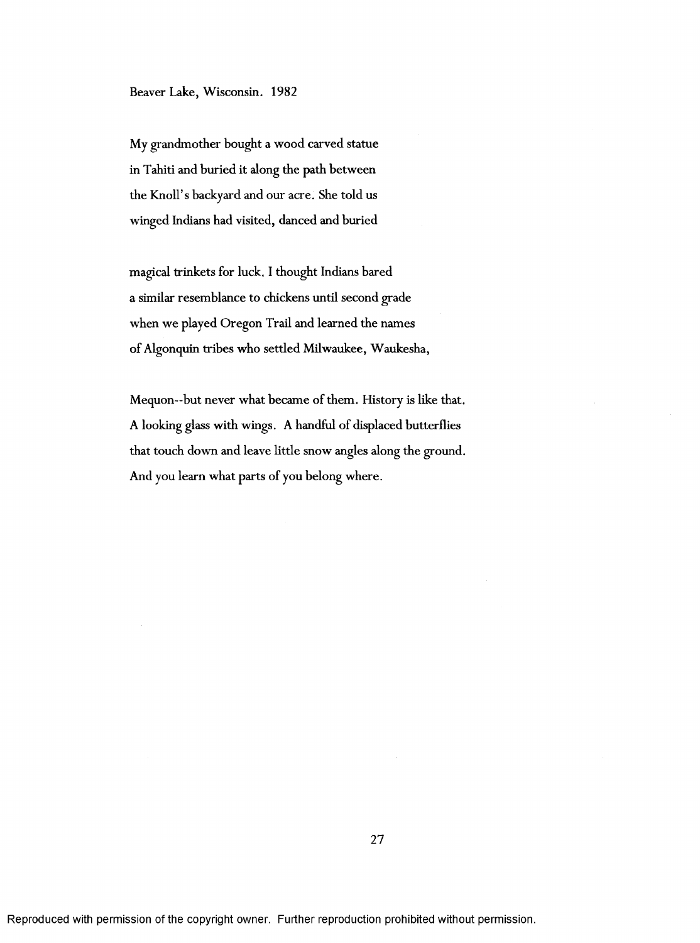My grandmother bought a wood carved statue in Tahiti and buried it along the path between the Knoll's backyard and our acre. She told us winged Indians had visited, danced and buried

magical trinkets for luck. I thought Indians bared a similar resemblance to chickens until second grade when we played Oregon Trail and learned the names of Algonquin tribes who settled Milwaukee, Waukesha,

Mequon—but never what became of them. History is like that. A looking glass with wings. A handful of displaced butterflies that touch down and leave little snow angles along the ground. And you leam what parts of you belong where.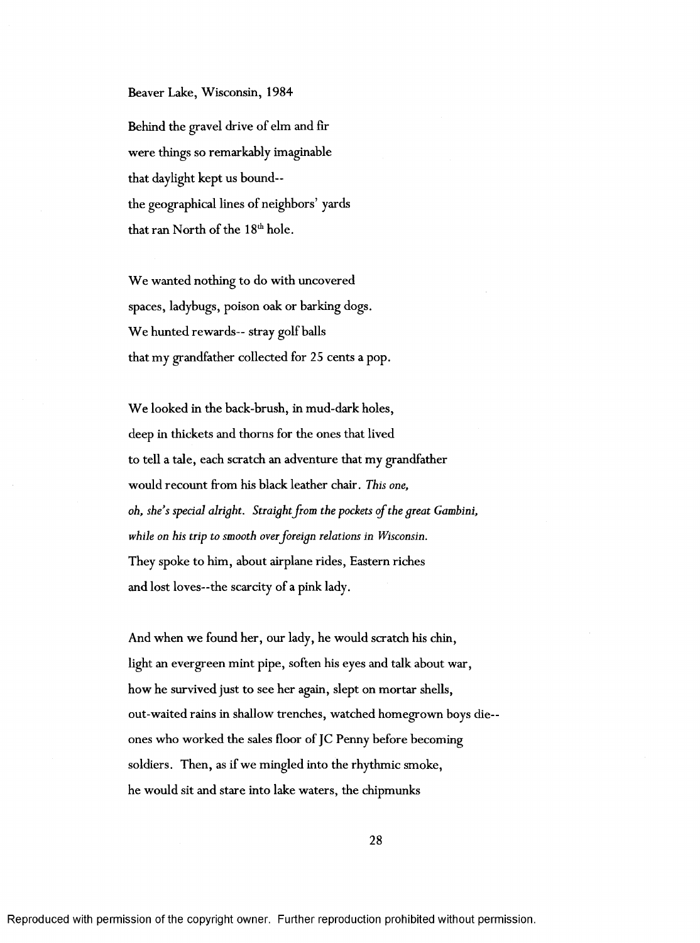#### Beaver Lake, Wisconsin, 1984

Behind the gravel drive of elm and fir were things so remarkably imaginable that daylight kept us bound the geographical lines of neighbors' yards that ran North of the 18<sup>th</sup> hole.

We wanted nothing to do with uncovered spaces, ladybugs, poison oak or barking dogs. We hunted rewards-- stray golf balls that my grandfather collected for 25 cents a pop.

We looked in the back-brush, in mud-dark holes, deep in thickets and thorns for the ones that lived to tell a tale, each scratch an adventure that my grandfather would recount from his black leather chair. *This one, oh, she's special alright. Straight from the pockets of the great Gambini, while on his trip to smooth over foreign relations in Wisconsin.* They spoke to him, about airplane rides. Eastern riches and lost loves—the scarcity of a pink lady.

And when we found her, our lady, he would scratch his chin, light an evergreen mint pipe, soften his eyes and talk about war, how he survived just to see her again, slept on mortar shells, out-waited rains in shallow trenches, watched homegrown boys dieones who worked the sales floor of JC Penny before becoming soldiers. Then, as if we mingled into the rhythmic smoke, he would sit and stare into lake waters, the chipmunks

28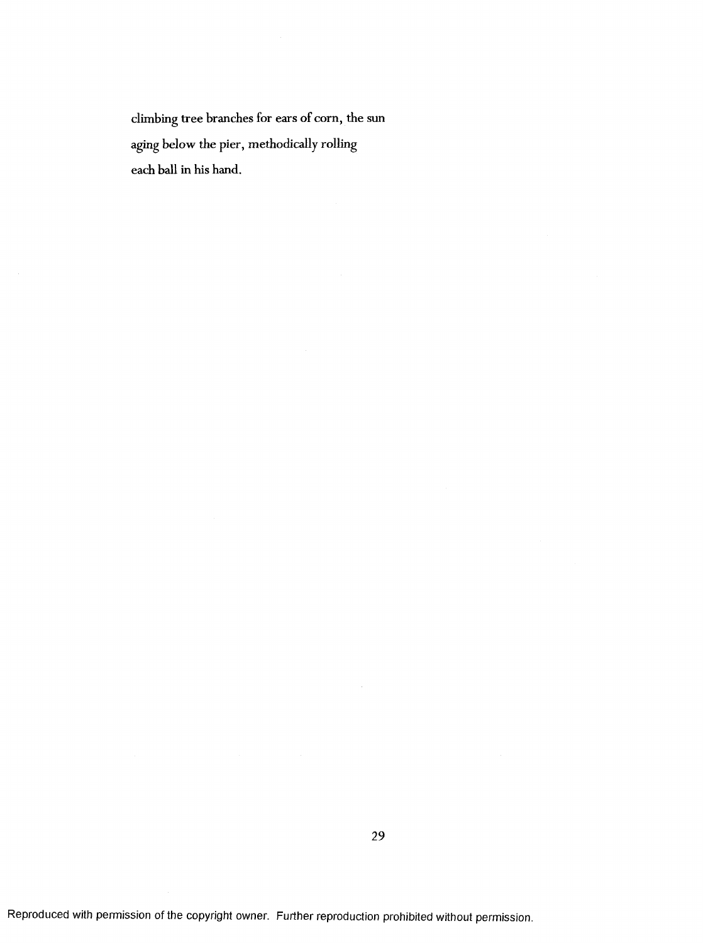climbing tree branches for ears of corn, the sun aging below the pier, methodically rolling each ball in his hand.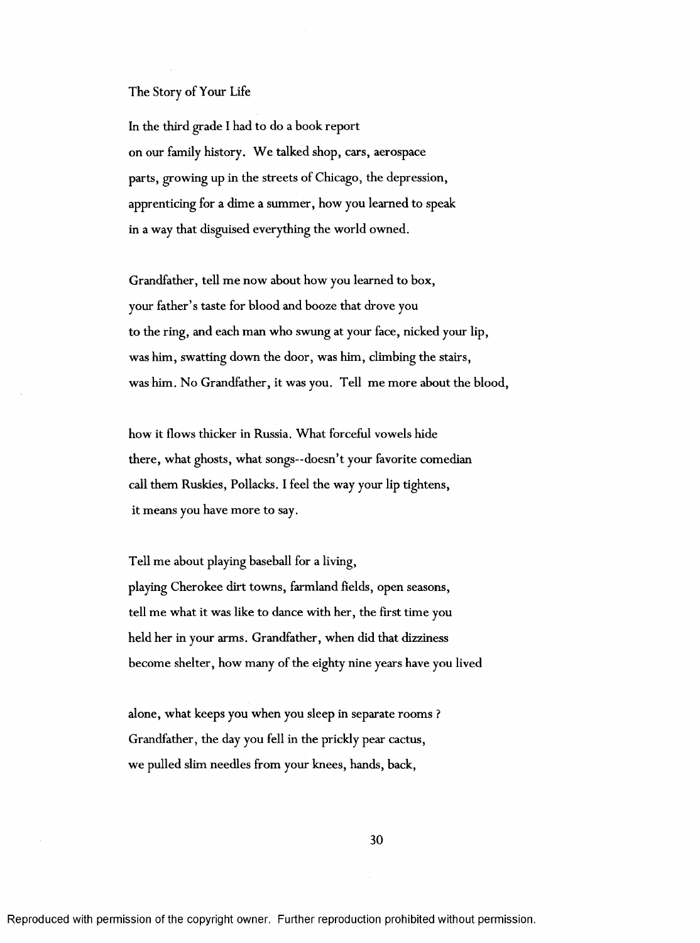## The Story of Your Life

In the third grade I had to do a book report on our family history. We talked shop, cars, aerospace parts, growing up in the streets of Chicago, the depression, apprenticing for a dime a summer, how you learned to speak in a way that disguised everything the world owned.

Grandfather, tell me now about how you learned to box, your father's taste for blood and booze that drove you to the ring, and each man who swung at your face, nicked your lip, was him, swatting down the door, was him, climbing the stairs, was him. No Grandfather, it was you. Tell me more about the blood,

how it flows thicker in Russia. What forceful vowels hide there, what ghosts, what songs—doesn't your favorite comedian call them Ruskies, Pollacks. I feel the way your lip tightens, it means you have more to say.

Tell me about playing baseball for a living, playing Cherokee dirt towns, farmland fields, open seasons, tell me what it was like to dance with her, the first time you held her in your arms. Grandfather, when did that dizziness become shelter, how many of the eighty nine years have you lived

alone, what keeps you when you sleep in separate rooms ? Grandfather, the day you fell in the prickly pear cactus, we pulled slim needles from your knees, hands, back,

30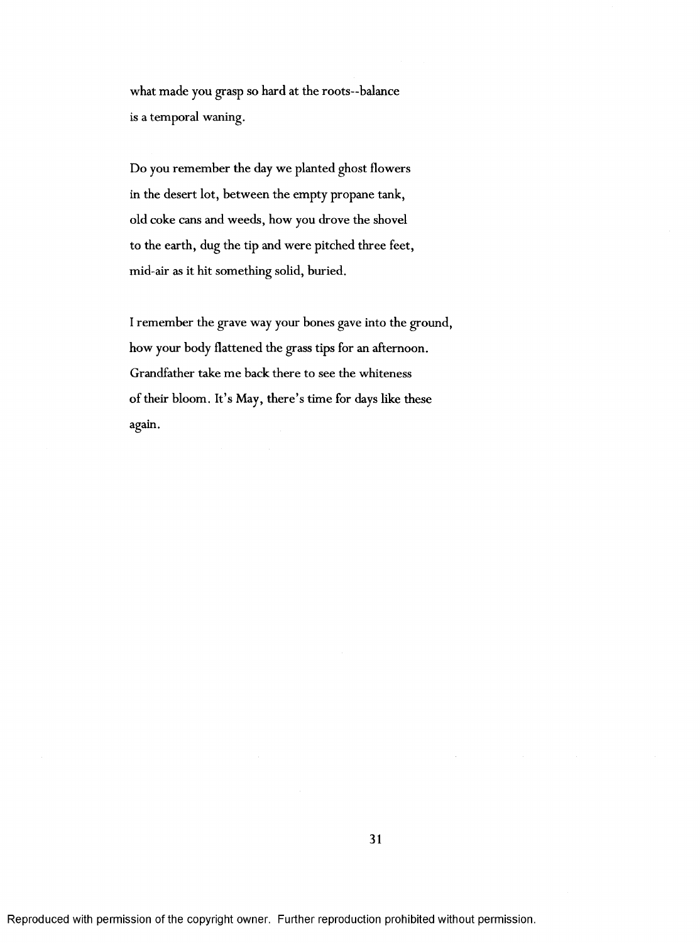what made you grasp so hard at the roots—balance is a temporal waning.

Do you remember the day we planted ghost flowers in the desert lot, between the empty propane tank, old coke cans and weeds, how you drove the shovel to the earth, dug the tip and were pitched three feet, mid-air as it hit something solid, buried.

I remember the grave way your bones gave into the ground, how your body flattened the grass tips for an afternoon. Grandfather take me back there to see the whiteness of their bloom. It's May, there's time for days like these again.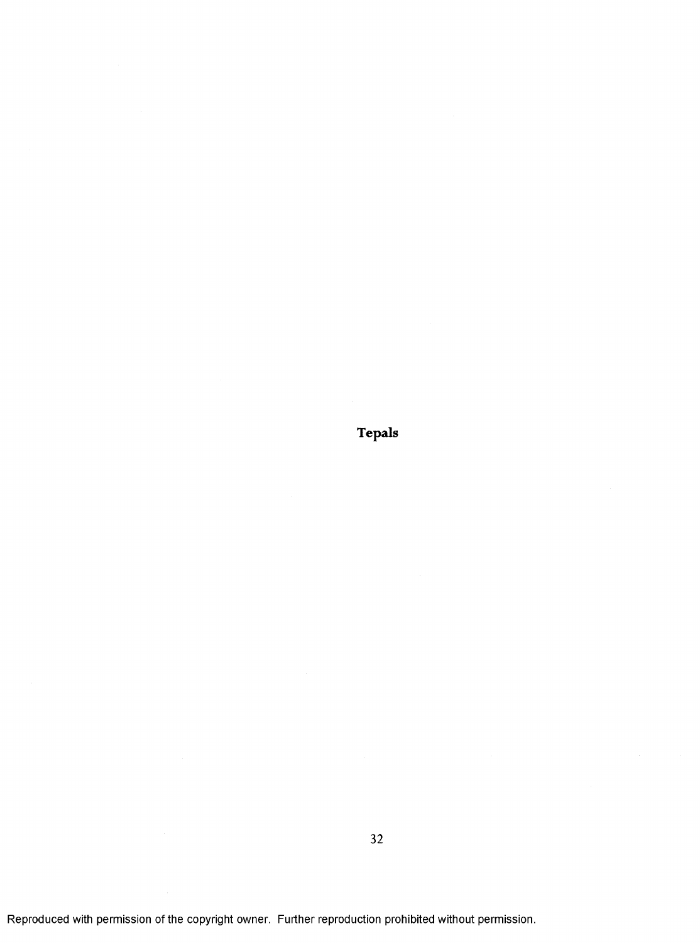**Tepals**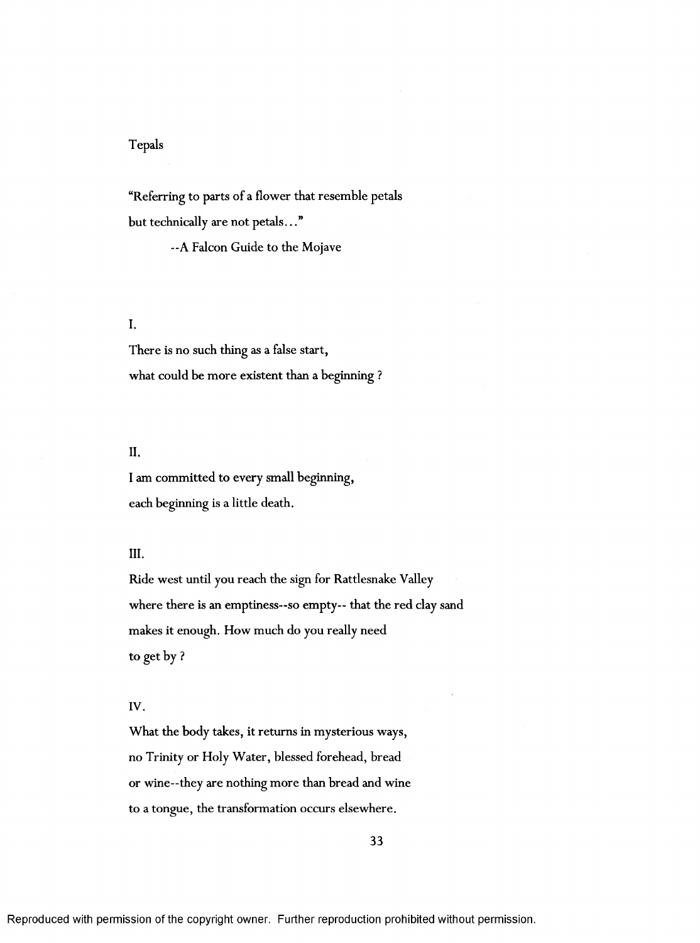# Tepals

"Referring to parts of a flower that resemble petals but technically are not petals..."

—A Falcon Guide to the Mojave

# I.

There is no such thing as a false start, what could be more existent than a beginning?

## II.

I am committed to every small beginning, each beginning is a little death.

## III.

Ride west until you reach the sign for Rattlesnake Valley where there is an emptiness--so empty-- that the red clay sand makes it enough. How much do you really need to get by ?

## IV.

What the body takes, it returns in mysterious ways, no Trinity or Holy Water, blessed forehead, bread or wine--they are nothing more than bread and wine to a tongue, the transformation occurs elsewhere.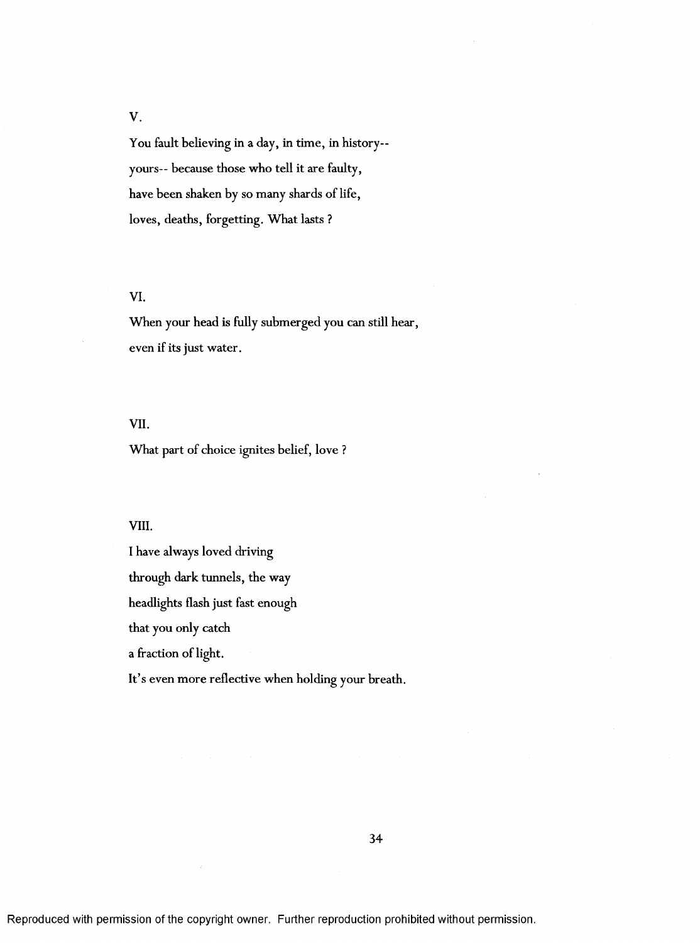V.

You fault believing in a day, in time, in history-yours— because those who tell it are faulty, have been shaken by so many shards of life, loves, deaths, forgetting. What lasts ?

## VI.

When your head is fully submerged you can still hear, even if its just water.

## VII.

What part of choice ignites belief, love?

## VIII.

I have always loved driving

through dark tunnels, the way

headlights flash just fast enough

that you only catch

a fraction of light.

It's even more reflective when holding your breath.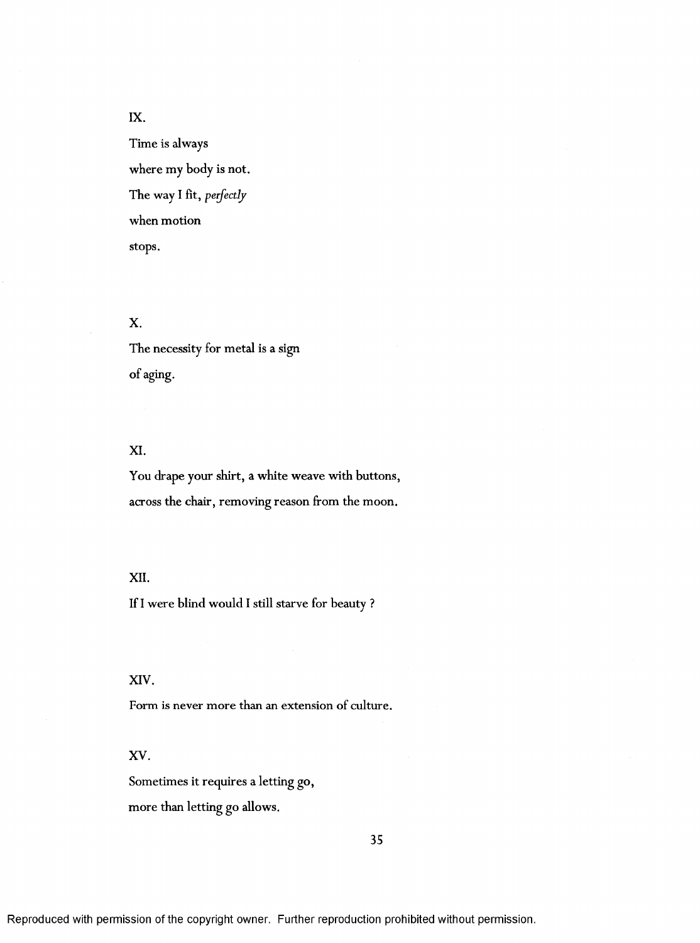IX.

Time is always where my body is not. The way I fit, *perfectly* when motion stops.

# X.

The necessity for metal is a sign of aging.

## XI.

You drape your shirt, a white weave with buttons, across the chair, removing reason from the moon.

## XII.

If I were blind would I still starve for beauty ?

XIV.

Form is never more than an extension of culture.

XV.

Sometimes it requires a letting go,

more than letting go allows.

35

Reproduced with permission of the copyright owner. Further reproduction prohibited without permission.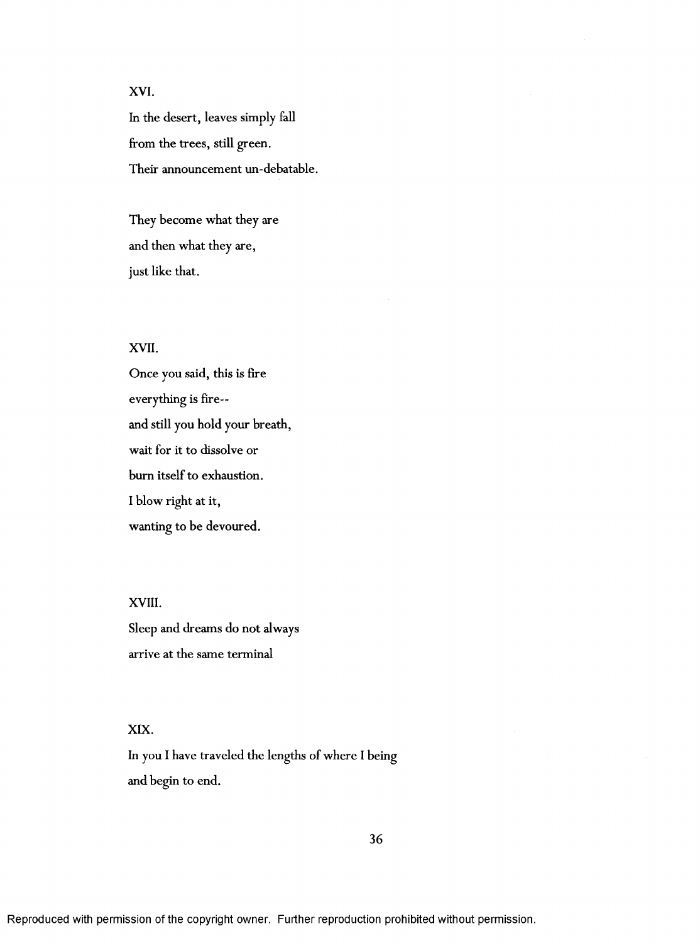# XVI.

In the desert, leaves simply fall from the trees, still green. Their announcement un-debatable.

They become what they are and then what they are, just like that.

# XVII.

Once you said, this is fire everything is fire and still you hold your breath, wait for it to dissolve or burn itself to exhaustion. I blow right at it, wanting to be devoured.

XVIII. Sleep and dreams do not always arrive at the same terminal

## XIX.

In you I have traveled the lengths of where I being and begin to end.

36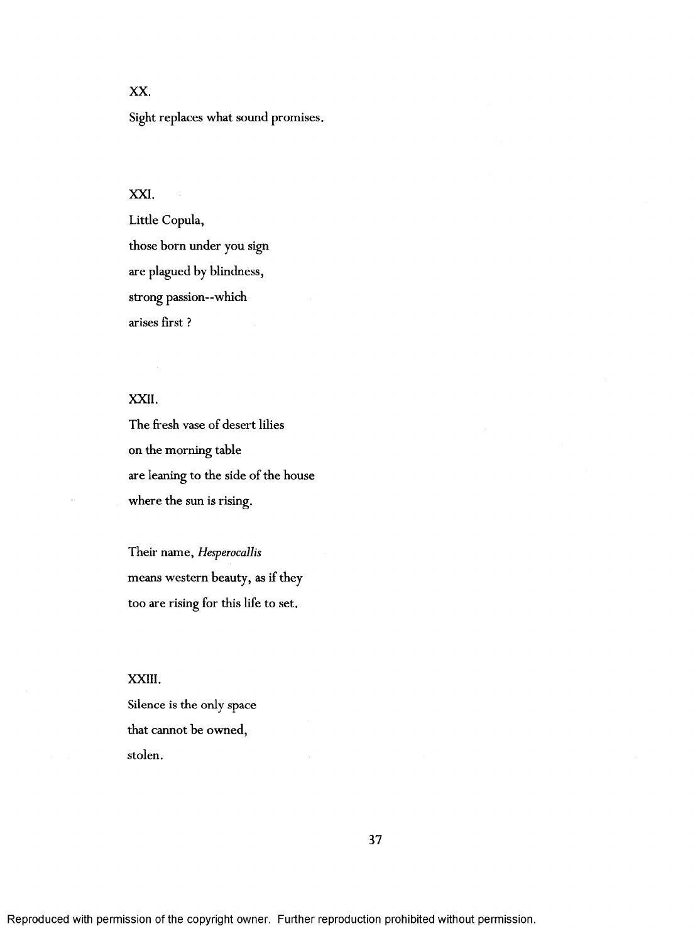# **XX.**

Sight replaces what sound promises.

## XXL

Little Copula, those born under you sign are plagued by blindness, strong passion—which arises first ?

# XXII.

The fresh vase of desert lilies on the morning table are leaning to the side of the house where the sun is rising.

Their name, *Hesperocallis* means western beauty, as if they too are rising for this life to set.

## XXIII.

Silence is the only space that cannot be owned, stolen.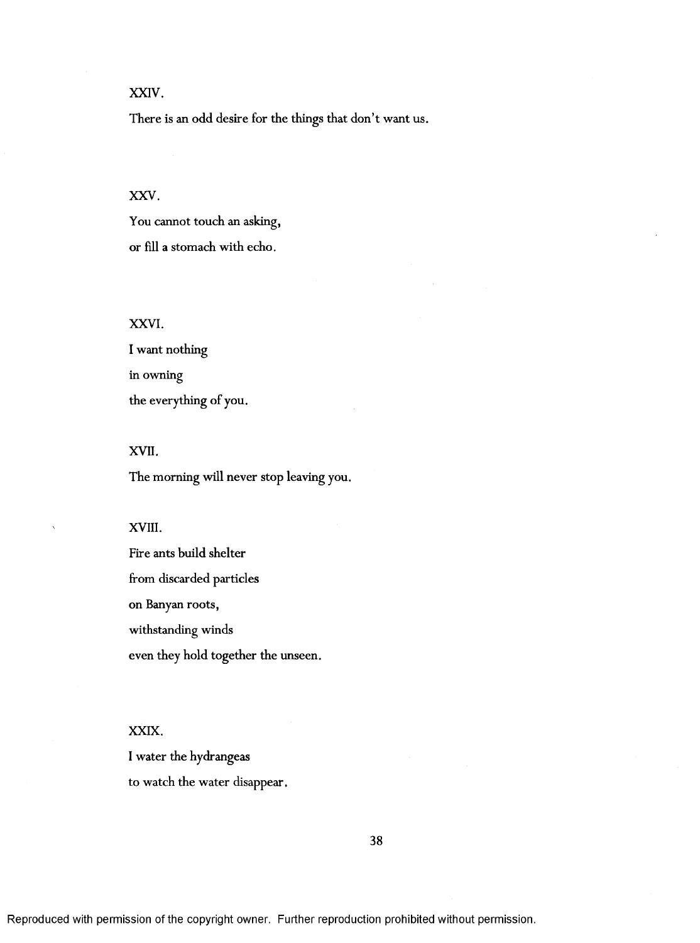# XXIV.

There is an odd desire for the things that don't want us.

## XXV.

You cannot touch an asking, or fill a stomach with echo.

# XXVI.

I want nothing in owning the everything of you.

## XVII.

The morning will never stop leaving you.

## XVIII.

Fire ants build shelter from discarded particles on Banyan roots, withstanding winds even they hold together the unseen.

### XXIX.

I water the hydrangeas to watch the water disappear.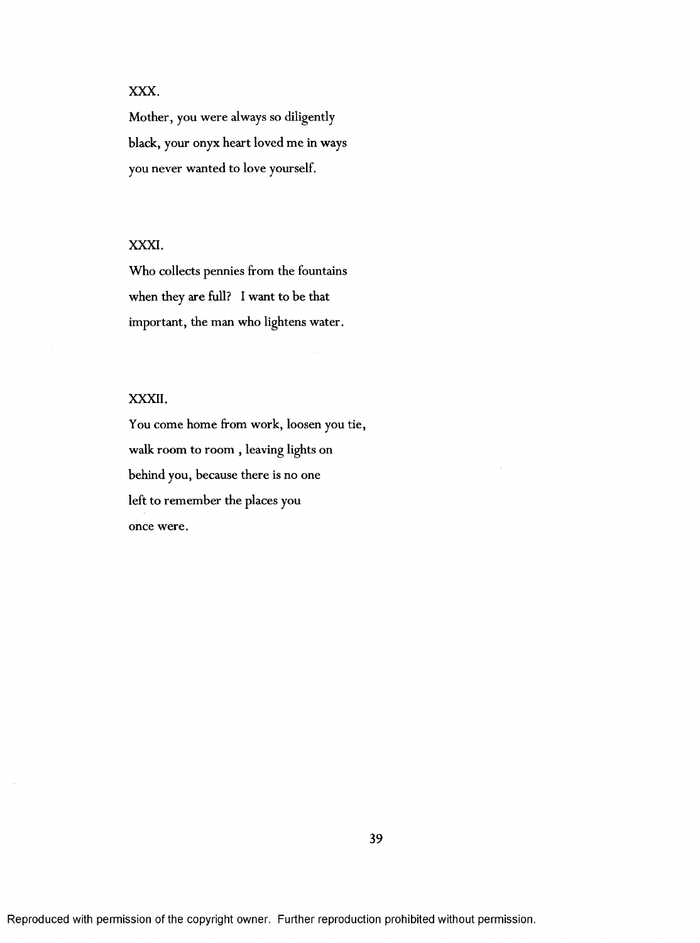# **XXX.**

Mother, you were always so diligently black, your onyx heart loved me in ways you never wanted to love yourself.

# XXXI.

Who collects pennies from the fountains when they are full? I want to be that important, the man who lightens water.

# XXXII.

You come home from work, loosen you tie, walk room to room , leaving lights on behind you, because there is no one left to remember the places you once were.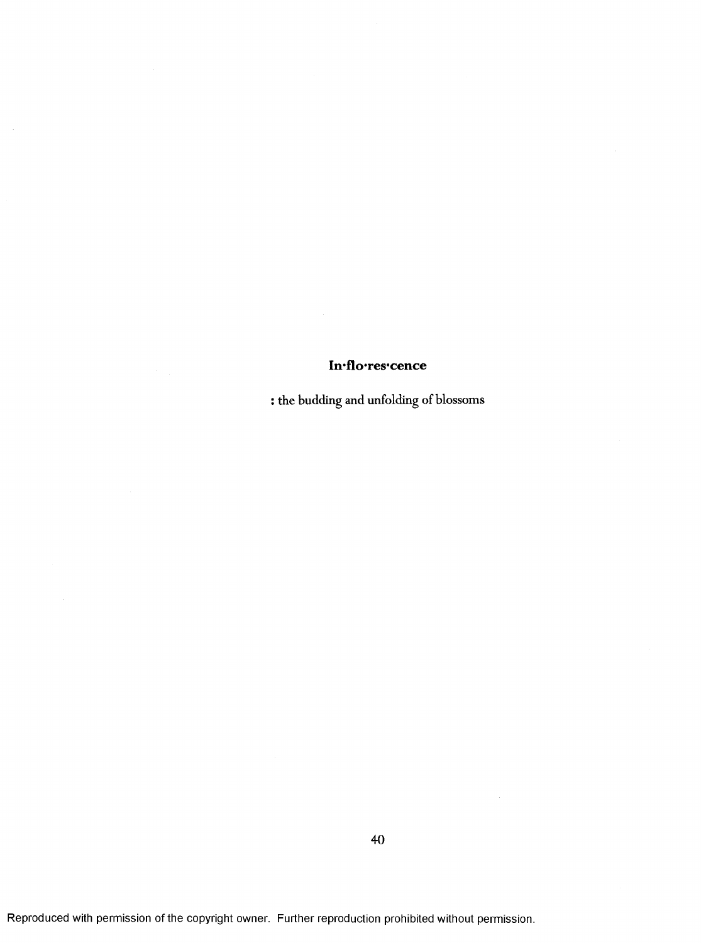# In flores cence

 $\mathcal{A}$ 

: the budding and unfolding of blossoms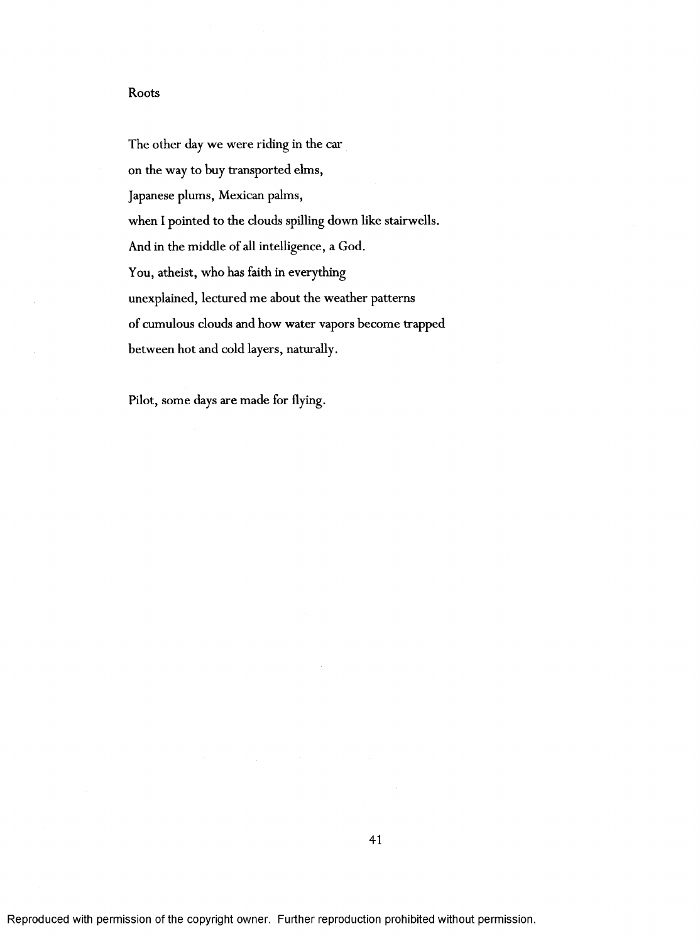## Roots

The other day we were riding in the car on the way to buy transported elms, Japanese plums, Mexican palms, when I pointed to the clouds spilling down like stairwells. And in the middle of all intelligence, a God. You, atheist, who has faith in everything unexplained, lectured me about the weather patterns of cumulous clouds and how water vapors become trapped between hot and cold layers, naturally.

Pilot, some days are made for flying.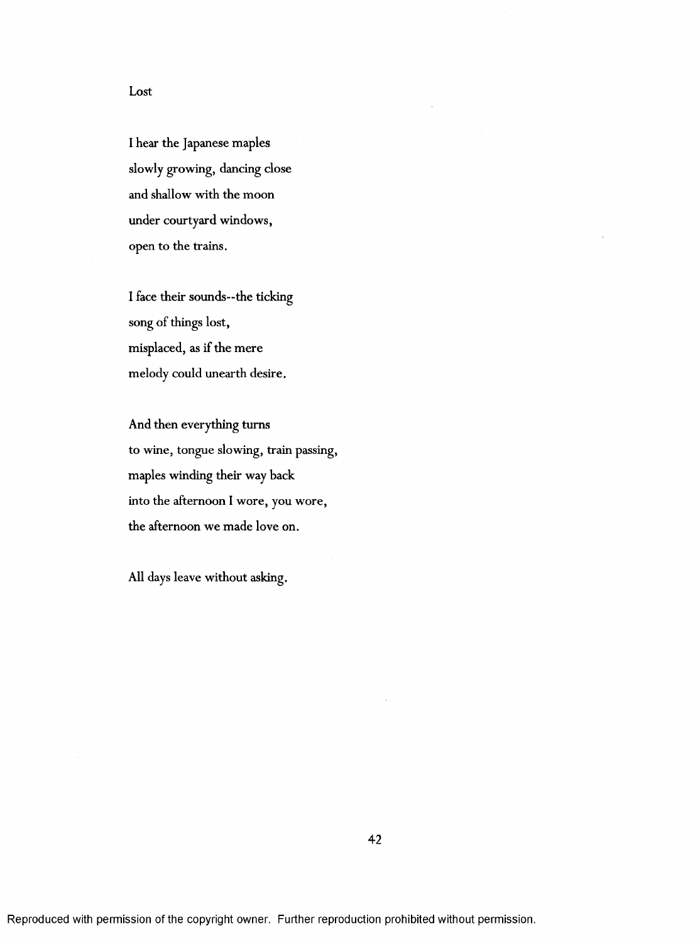I hear the Japanese maples slowly growing, dancing close and shallow with the moon under courtyard windows, open to the trains.

I face their sounds—the ticking song of things lost, misplaced, as if the mere melody could unearth desire.

And then everything turns to wine, tongue slowing, train passing, maples winding their way back into the afternoon I wore, you wore, the afternoon we made love on.

All days leave without asking.

Lost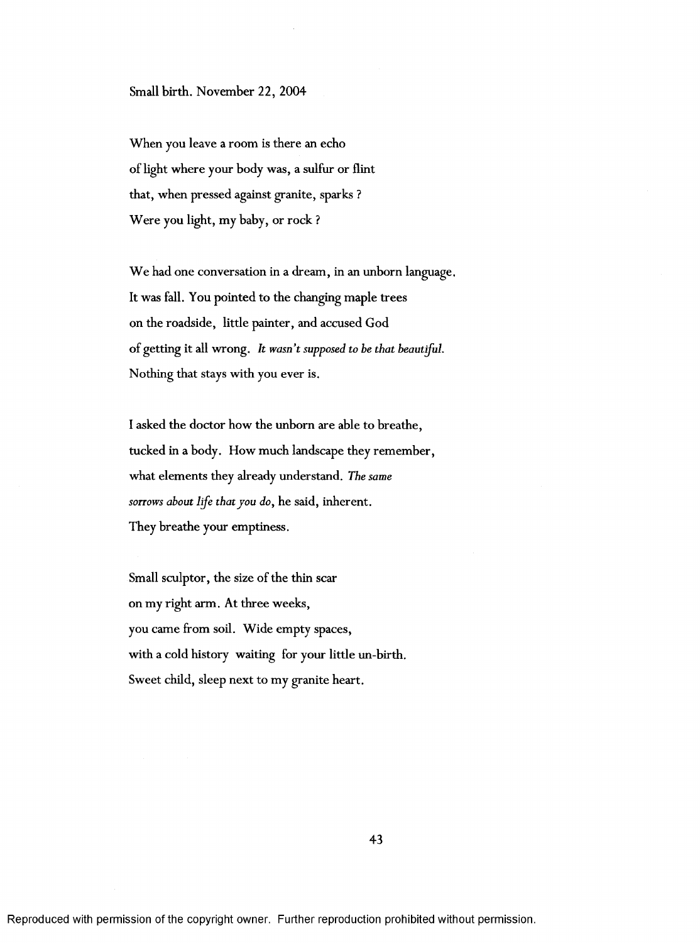Small birth. November 22, 2004

When you leave a room is there an echo of light where your body was, a sulfur or flint that, when pressed against granite, sparks ? Were you light, my baby, or rock?

We had one conversation in a dream, in an unborn language. It was fall. You pointed to the changing maple trees on the roadside, little painter, and accused God of getting it all wrong. *It wasn't supposed to be that heaut^ul.* Nothing that stays with you ever is.

I asked the doctor how the unborn are able to breathe, tucked in a body. How much landscape they remember, what elements they already understand. *The same sorrows about life that you do,* he said, inherent. They breathe your emptiness.

Small sculptor, the size of the thin scar on my right arm. At three weeks, you came from soil. Wide empty spaces, with a cold history waiting for your little un-birth. Sweet child, sleep next to my granite heart.

43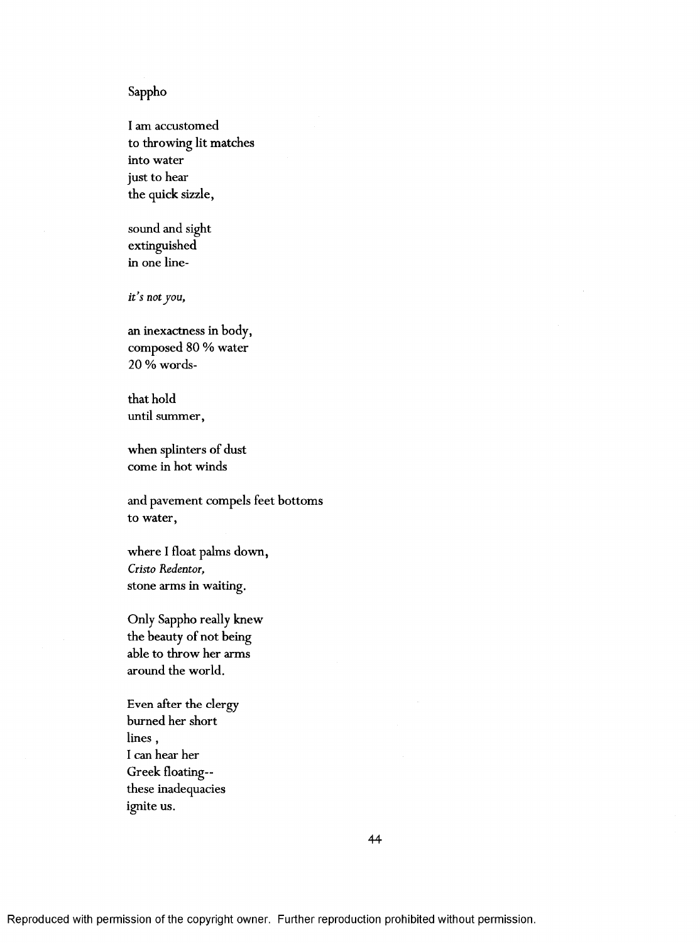# Sappho

I am accustomed to throwing lit matches into water just to hear the quick sizzle,

sound and sight extinguished in one line-

*it's not you,*

an inexactness in body, composed 80 % water 20 % words-

that hold until summer,

when splinters of dust come in hot winds

and pavement compels feet bottoms to water,

where I float palms down, *Cristo Redentor,* stone arms in waiting.

Only Sappho really knew the beauty of not being able to throw her arms around the world.

Even after the clergy burned her short lines , I can hear her Greek floating these inadequacies ignite us.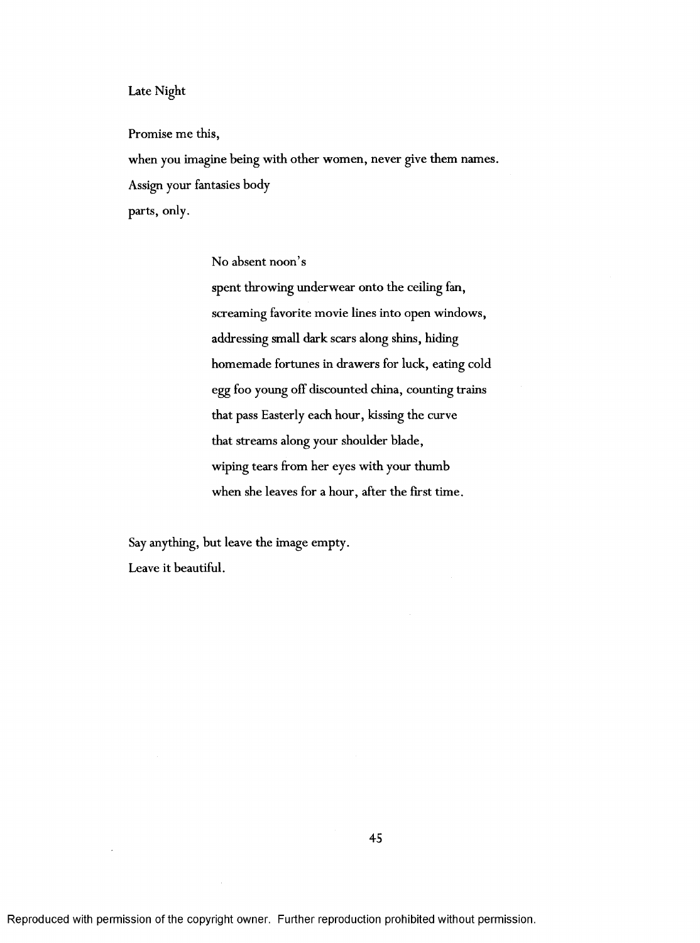## Late Night

Promise me this,

when you imagine being with other women, never give them names. Assign your fantasies body parts, only.

No absent noon's

spent throwing underwear onto the ceiling fan, screaming favorite movie lines into open windows, addressing small dark scars along shins, hiding homemade fortunes in drawers for luck, eating cold egg foo young off discounted china, counting trains that pass Easterly each hour, kissing the curve that streams along your shoulder blade, wiping tears from her eyes with your thumb when she leaves for a hour, after the first time.

Say anything, but leave the image empty. Leave it beautiful.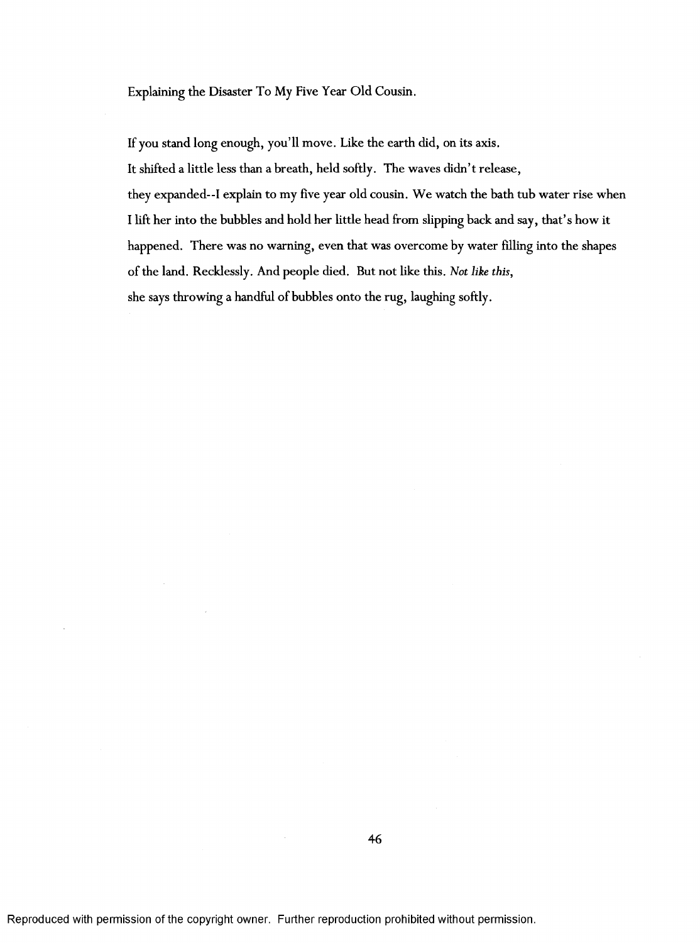Explaining the Disaster To My Five Year Old Cousin.

If you stand long enough, you'll move. Like the earth did, on its axis.

It shifted a little less than a breath, held softly. The waves didn't release,

they expanded--I explain to my five year old cousin. We watch the bath tub water rise when I lift her into the bubbles and hold her little head from slipping back and say, that's how it happened. There was no warning, even that was overcome by water filling into the shapes of the land. Recklessly. And people died. But not like this. *Not like this,* she says throwing a handful of bubbles onto the rug, laughing softly.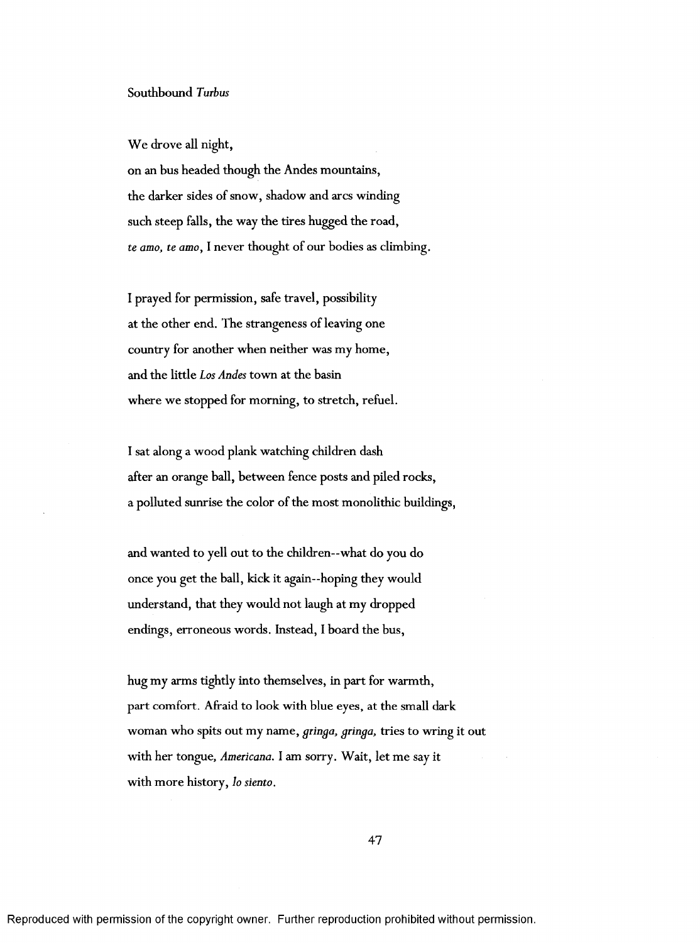We drove all night,

on an bus headed though the Andes mountains, the darker sides of snow, shadow and arcs winding such steep falls, the way the tires hugged the road, *te amo, te amo,* I never thought of our bodies as climbing.

I prayed for permission, safe travel, possibility at the other end. The strangeness of leaving one country for another when neither was my home, and the little *Los Andes* town at the basin where we stopped for morning, to stretch, refuel.

I sat along a wood plank watching children dash after an orange ball, between fence posts and piled rocks, a polluted sunrise the color of the most monolithic buildings,

and wanted to yell out to the children—what do you do once you get the ball, kick it again—hoping they would understand, that they would not laugh at my dropped endings, erroneous words. Instead, I board the bus,

hug my arms tightly into themselves, in part for warmth, part comfort. Afraid to look with blue eyes, at the small dark woman who spits out my name, *gtinga, gringa,* tries to wring it out with her tongue, *Americana*. I am sorry. Wait, let me say it with m ore history, *lo siento.*

47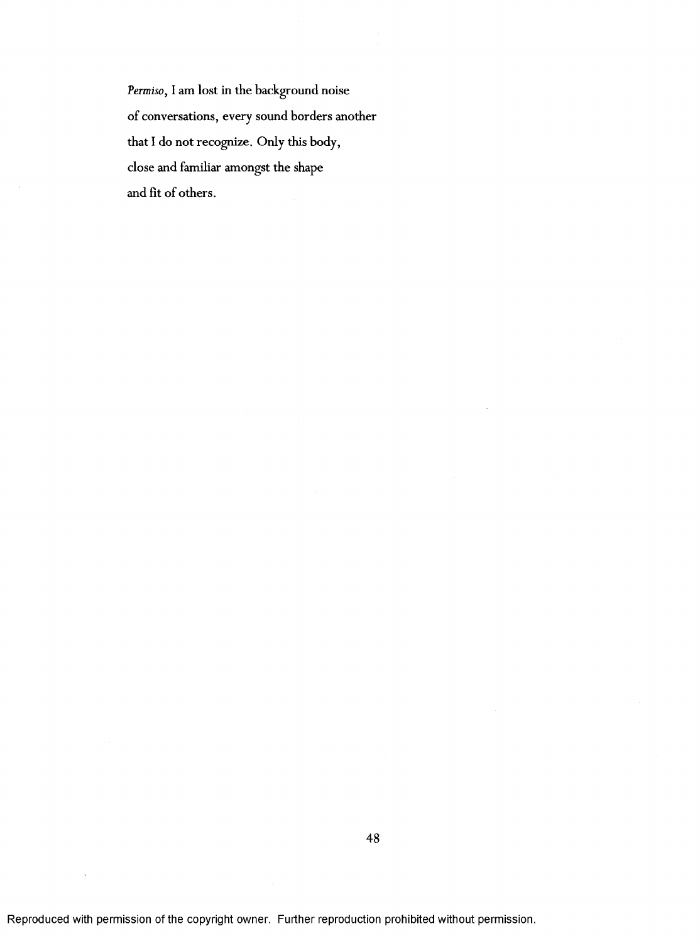*Permiso,* I am lost in the background noise of conversations, every sound borders another that I do not recognize. Only this body, close and familiar amongst the shape and fit of others.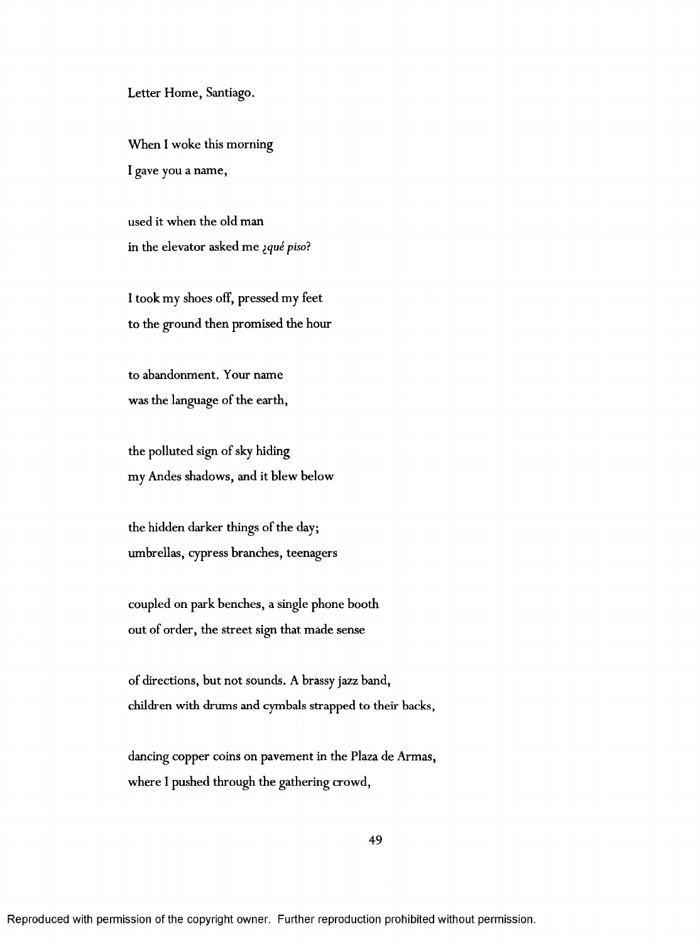#### Letter Home, Santiago.

When I woke this morning I gave you a name,

used it when the old man in the elevator asked me *¿qué piso*?

I took my shoes off, pressed my feet to the ground then promised the hour

to abandonment. Your name was the language of the earth,

the polluted sign of sky hiding my Andes shadows, and it blew below

the hidden darker things of the day; umbrellas, cypress branches, teenagers

coupled on park benches, a single phone booth out of order, the street sign that made sense

of directions, but not sounds. A brassy jazz band, children with drums and cymbals strapped to their backs,

dancing copper coins on pavement in the Plaza de Armas, where I pushed through the gathering crowd,

49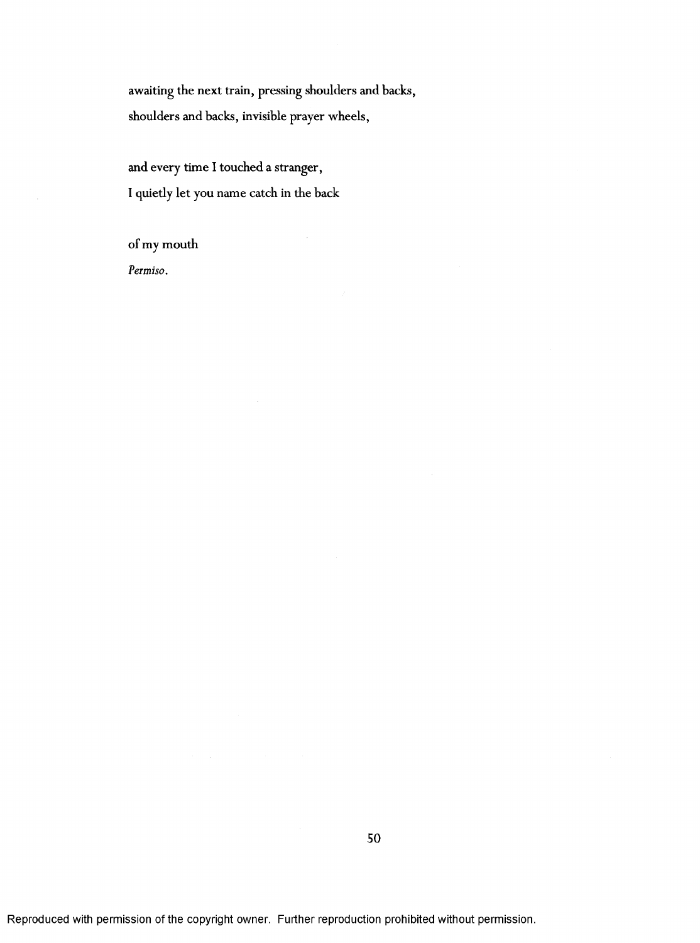awaiting the next train, pressing shoulders and backs, shoulders and backs, invisible prayer wheels,

and every time I touched a stranger, I quietly let you name catch in the back

of my mouth

*Permiso.*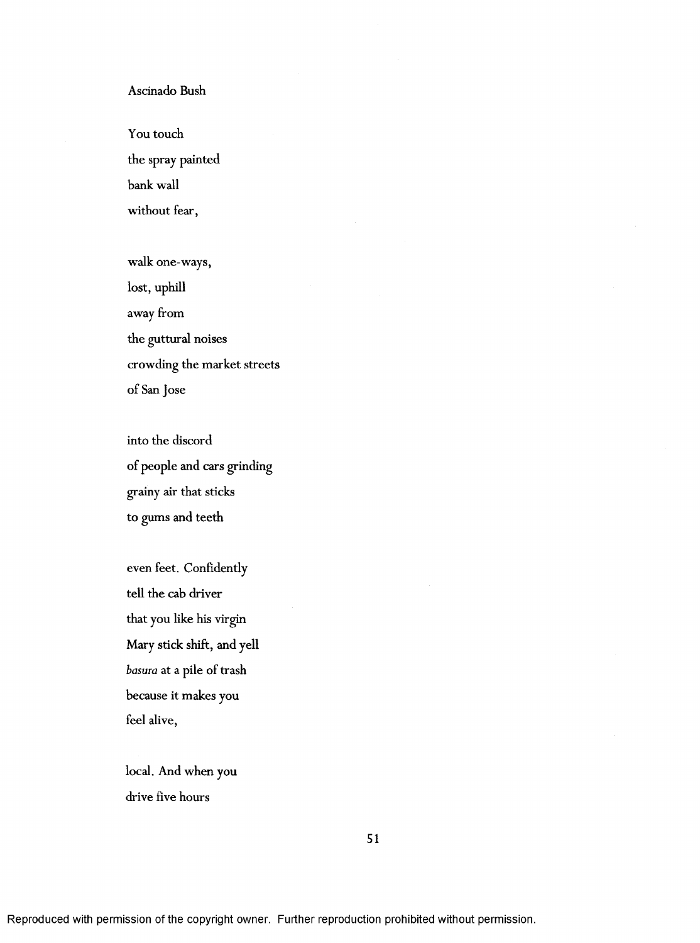# Ascinado Bush

You touch the spray painted bank wall without fear,

walk one-ways, lost, uphill away from the guttural noises crowding the market streets of San Jose

into the discord of people and cars grinding grainy air that sticks to gums and teeth

even feet. Confidently tell the cab driver that you like his virgin Mary stick shift, and yell *basuia* at a pile of trash because it makes you feel alive,

local. And when you drive five hours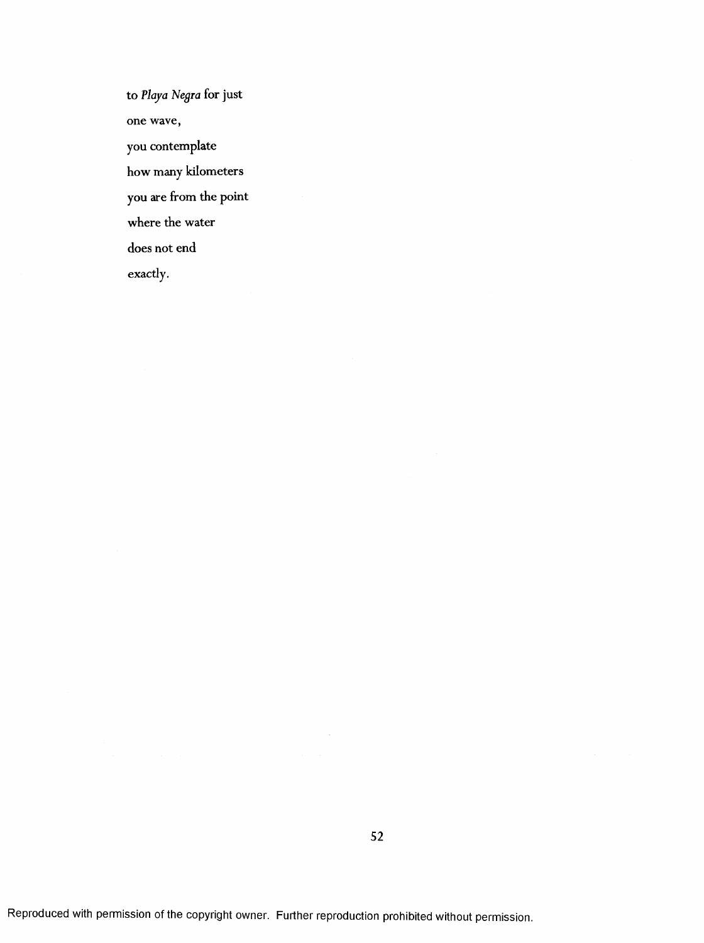to *Ploya Negia* for just one wave, you contemplate how many kilometers you are from the point where the water does not end exactly.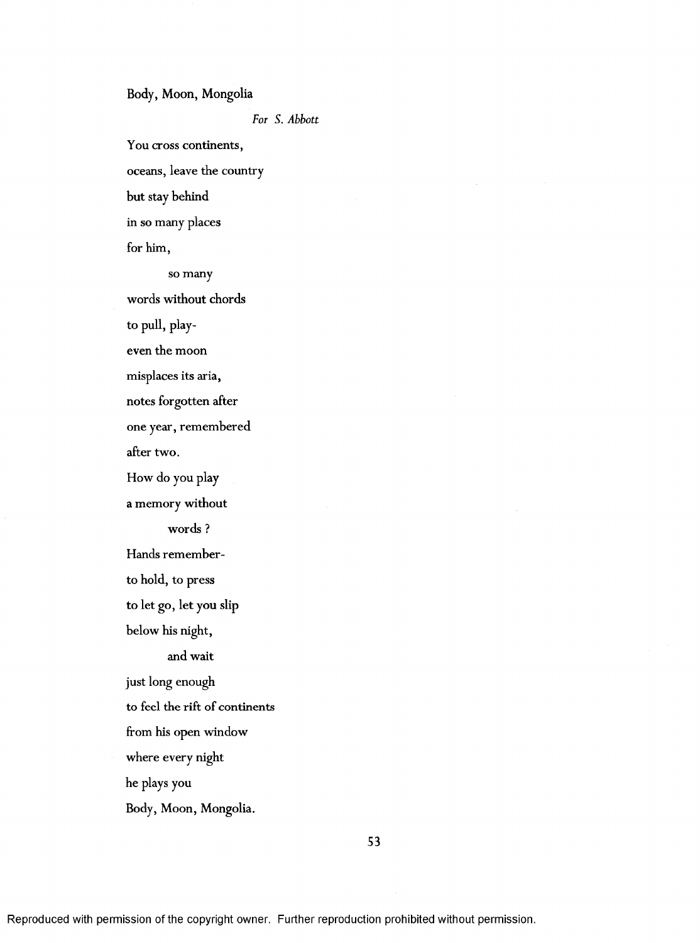## Body, Moon, Mongolia

*For S. Abbott*

You cross continents,

oceans, leave the country

but stay behind

in so many places

for him,

so many

words without chords

to pull, play-

even the moon

misplaces its aria,

notes forgotten after

one year, remembered

after two.

How do you play

a memory without

words ?

Hands remember-

to hold, to press

to let go, let you slip

below his night,

and wait

just long enough

to feel the rift of continents

from his open window

where every night

he plays you

Body, Moon, Mongolia.

Reproduced with permission of the copyright owner. Further reproduction prohibited without permission.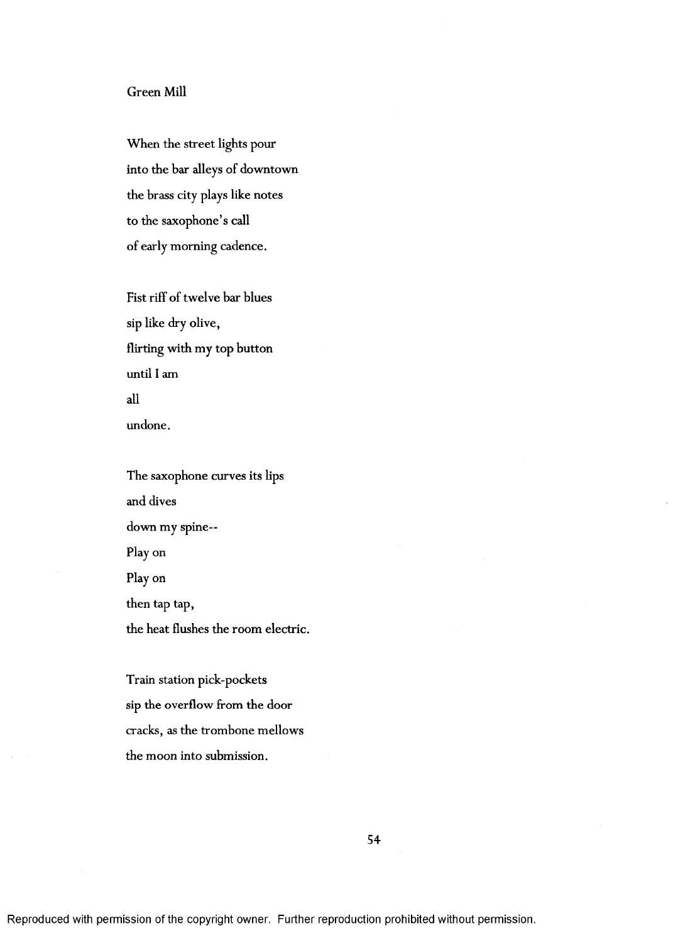# Green Mill

When the street lights pour into the bar alleys of downtown the brass city plays like notes to the saxophone's call of early morning cadence.

Fist riff of twelve bar blues sip like dry olive, flirting with my top button until I am all undone.

The saxophone curves its lips and dives down my spine--Play on Play on then tap tap, the heat flushes the room electric.

Train station pick-pockets sip the overflow from the door cracks, as the trom bone mellows the moon into submission.

54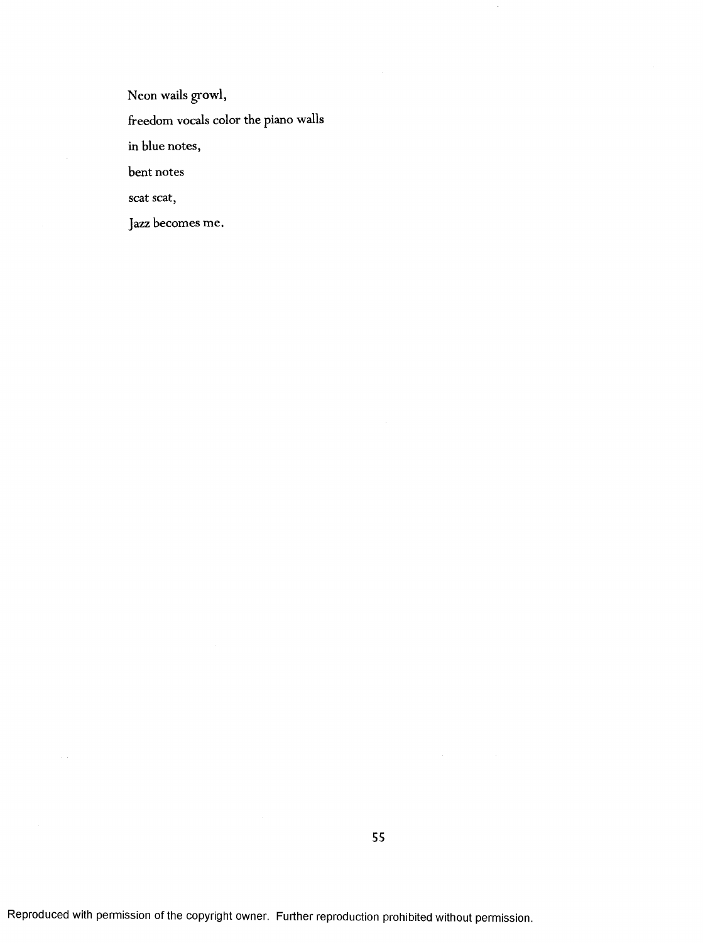Neon wails growl,

freedom vocals color the piano walls

in blue notes,

bent notes

scat scat,

Jazz becomes me.

 $\hat{\mathcal{C}}$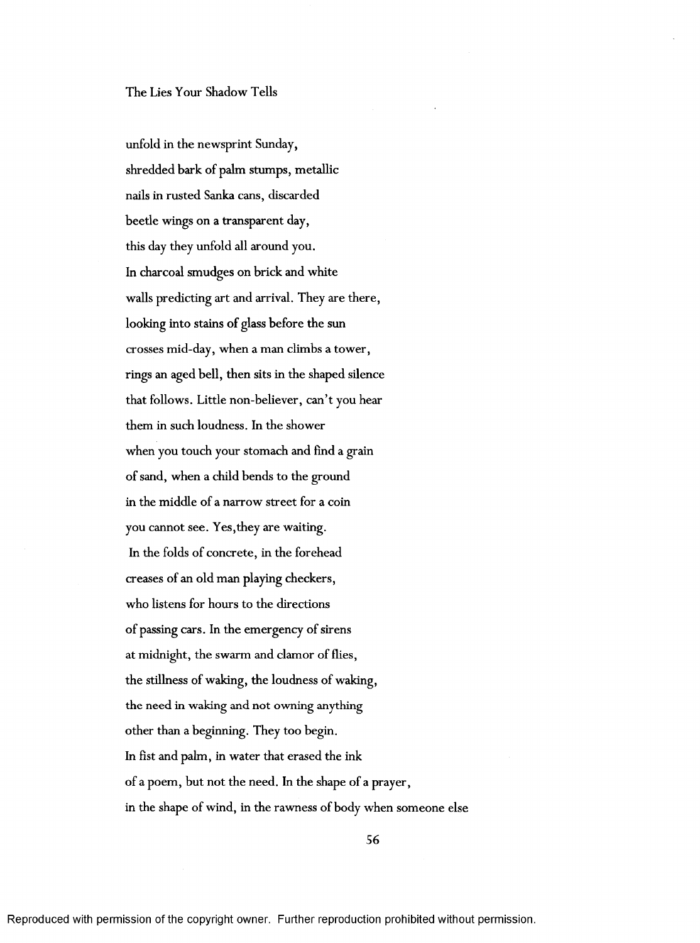## The Lies Your Shadow Tells

unfold in the newsprint Sunday, shredded bark of palm stumps, metallic nails in rusted Sanka cans, discarded beetle wings on a transparent day, this day they unfold all around you. In charcoal smudges on brick and white walls predicting art and arrival. They are there, looking into stains of glass before the sun crosses mid-day, when a man climbs a tower, rings an aged bell, then sits in the shaped silence that follows. Little non-believer, can't you hear them in such loudness. In the shower when you touch your stomach and find a grain of sand, when a child bends to the ground in the middle of a narrow street for a coin you cannot see. Yes,they are waiting. In the folds of concrete, in the forehead creases of an old man playing checkers, who listens for hours to the directions of passing cars. In the emergency of sirens at midnight, the swarm and clamor of flies, the stillness of waking, the loudness of waking, the need in waking and not owning anything Other than a beginning. They too begin. In fist and palm, in water that erased the ink of a poem, but not the need. In the shape of a prayer, in the shape of wind, in the rawness of body when someone else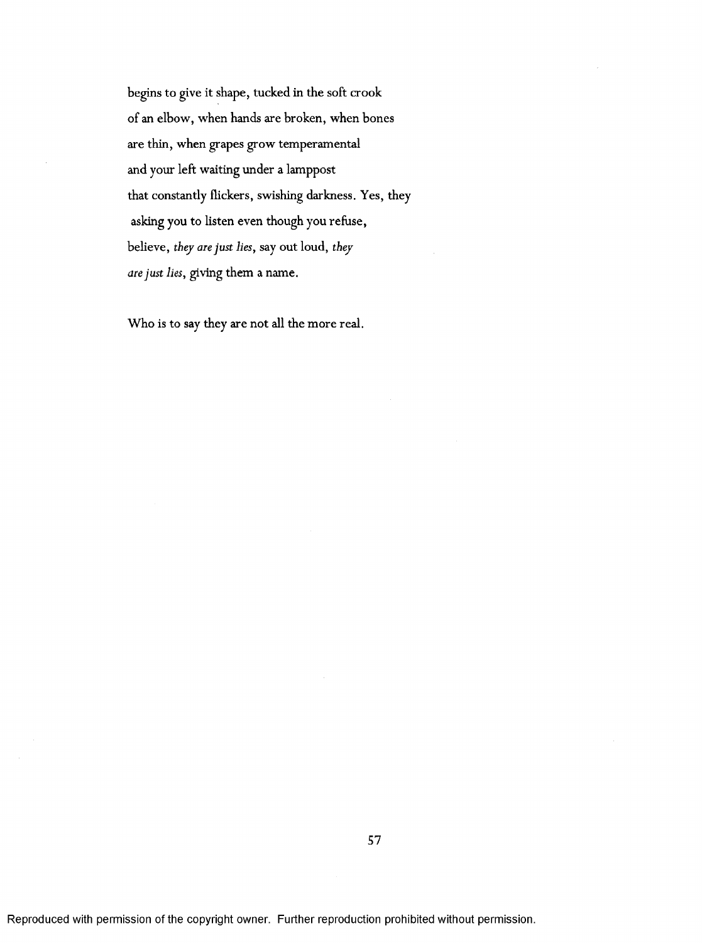begins to give it shape, tucked in the soft crook of an elbow, when hands are broken, when bones are thin, when grapes grow temperamental and your left waiting under a lamppost that constantly flickers, swishing darkness. Yes, they asking you to listen even though you refuse, believe, *they are just lies,* say out loud, *they aie just lies,* giving them a name.

Who is to say they are not all the more real.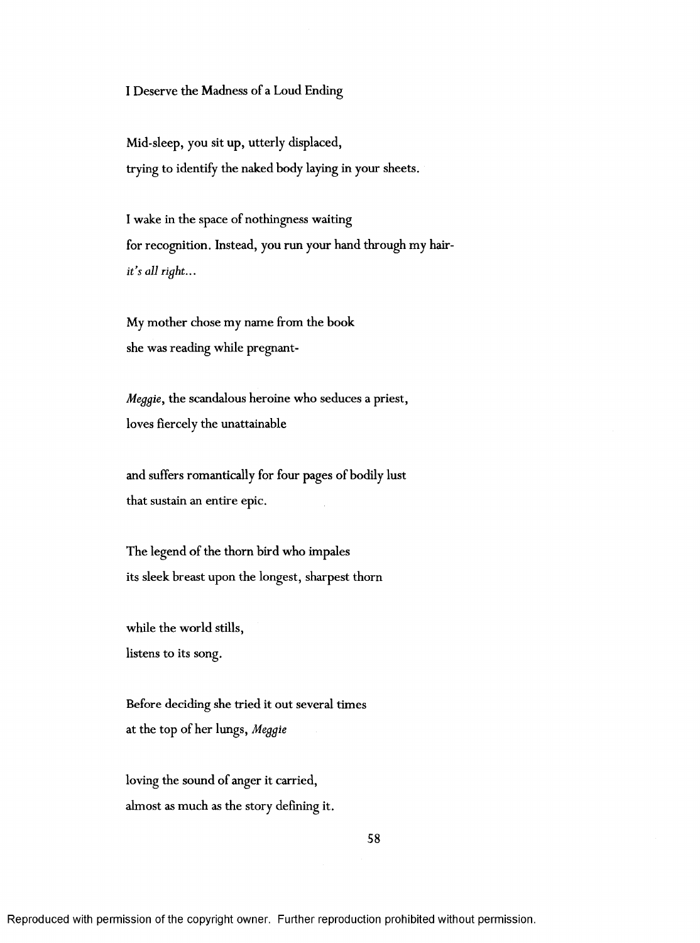I Deserve the Madness of a Loud Ending

Mid-sleep, you sit up, utterly displaced, trying to identify the naked body laying in your sheets.

I wake in the space of nothingness waiting for recognition. Instead, you run your hand through my hair*it's all right...*

My mother chose my name from the book she was reading while pregnant-

*Meggie,* the scandalous heroine who seduces a priest, loves fiercely the unattainable

and suffers romantically for four pages of bodily lust that sustain an entire epic.

The legend of the thorn bird who impales its sleek breast upon the longest, sharpest thorn

while the world stills, listens to its song.

Before deciding she tried it out several times at the top of her lungs, Meggie

loving the sound of anger it carried, almost as much as the story defining it.

Reproduced with permission of the copyright owner. Further reproduction prohibited without permission.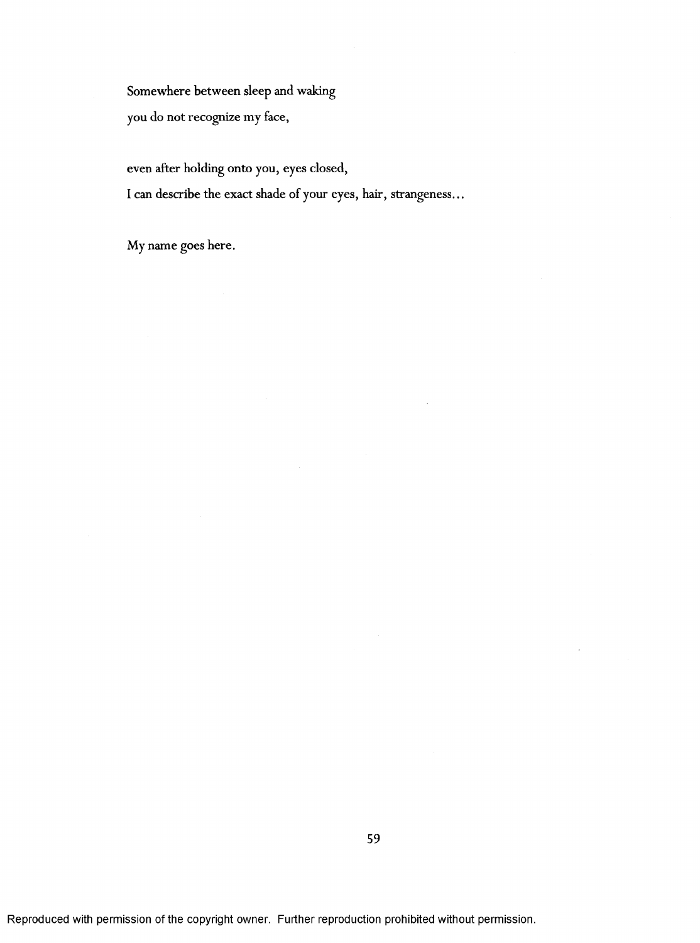Somewhere between sleep and waking

you do not recognize my face,

even after holding onto you, eyes closed,

I can describe the exact shade of your eyes, hair, strangeness...

My name goes here.